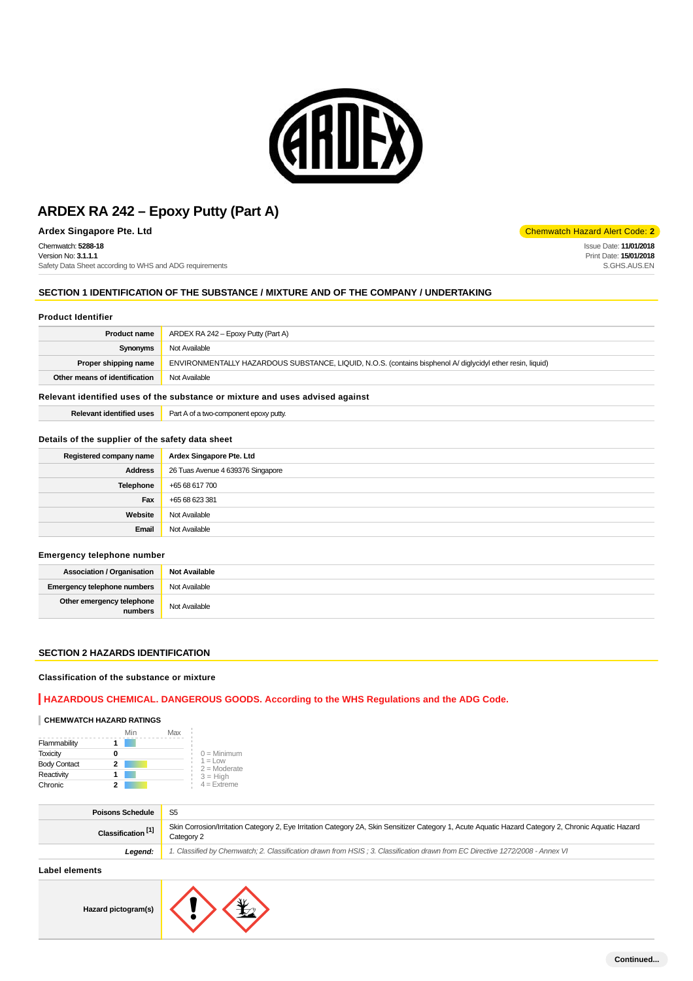

**Ardex Singapore Pte. Ltd** Code: **2** 

Chemwatch: **5288-18** Version No: **3.1.1.1**

Safety Data Sheet according to WHS and ADG requirements

# **SECTION 1 IDENTIFICATION OF THE SUBSTANCE / MIXTURE AND OF THE COMPANY / UNDERTAKING**

#### **Product Identifier**

| <b>Product name</b>                                                                                                                | ARDEX RA 242 – Epoxy Putty (Part A) |  |
|------------------------------------------------------------------------------------------------------------------------------------|-------------------------------------|--|
| Synonyms                                                                                                                           | Not Available                       |  |
| ENVIRONMENTALLY HAZARDOUS SUBSTANCE, LIQUID, N.O.S. (contains bisphenol A/ diglycidyl ether resin, liquid)<br>Proper shipping name |                                     |  |
| Other means of identification                                                                                                      | Not Available                       |  |
|                                                                                                                                    |                                     |  |

#### **Relevant identified uses of the substance or mixture and uses advised against**

| . .<br>.1entitler<br> | $P_{\text{out}}$<br>uttv.<br>ענענ<br>.<br>-au |
|-----------------------|-----------------------------------------------|
|                       |                                               |

# **Details of the supplier of the safety data sheet**

| Registered company name | Ardex Singapore Pte. Ltd          |
|-------------------------|-----------------------------------|
| <b>Address</b>          | 26 Tuas Avenue 4 639376 Singapore |
| Telephone               | +65 68 617 700                    |
| Fax                     | +65 68 623 381                    |
| Website                 | Not Available                     |
| Email                   | Not Available                     |

#### **Emergency telephone number**

| <b>Association / Organisation</b>    | <b>Not Available</b> |
|--------------------------------------|----------------------|
| <b>Emergency telephone numbers</b>   | Not Available        |
| Other emergency telephone<br>numbers | Not Available        |

#### **SECTION 2 HAZARDS IDENTIFICATION**

#### **Classification of the substance or mixture**

#### **HAZARDOUS CHEMICAL. DANGEROUS GOODS. According to the WHS Regulations and the ADG Code.**

# **CHEMWATCH HAZARD RATINGS**

|                     | Min | Max |                             |
|---------------------|-----|-----|-----------------------------|
| Flammability        |     |     |                             |
| <b>Toxicity</b>     | o   |     | $0 =$ Minimum               |
| <b>Body Contact</b> | 2   |     | $1 =$ Low<br>$2 =$ Moderate |
| Reactivity          |     |     | $3 = High$                  |
| Chronic             |     |     | $4 =$ Extreme               |

| <b>Poisons Schedule</b>       | S <sub>5</sub>                                                                                                                                                      |
|-------------------------------|---------------------------------------------------------------------------------------------------------------------------------------------------------------------|
| Classification <sup>[1]</sup> | Skin Corrosion/Irritation Category 2, Eye Irritation Category 2A, Skin Sensitizer Category 1, Acute Aquatic Hazard Category 2, Chronic Aquatic Hazard<br>Category 2 |
| Leaend:                       | 1. Classified by Chemwatch; 2. Classification drawn from HSIS; 3. Classification drawn from EC Directive 1272/2008 - Annex VI                                       |

#### **Label elements**

**Hazard pictogram(s)**



Issue Date: **11/01/2018** Print Date: **15/01/2018** S.GHS.AUS.EN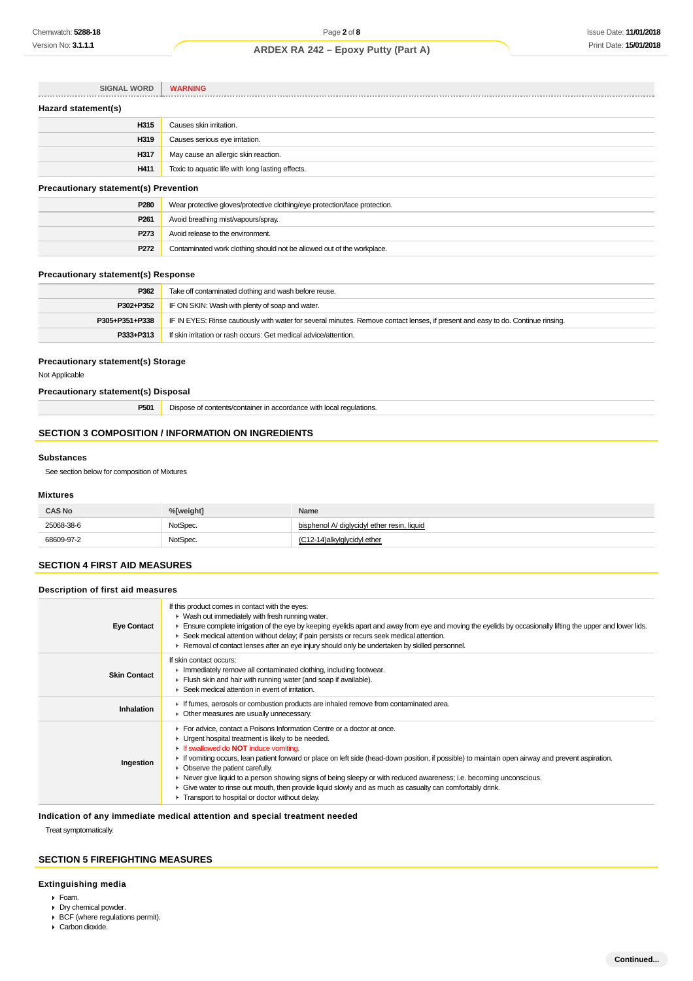| <b>SIGNAL WORD</b>                           | <b>WARNING</b>                                                             |  |
|----------------------------------------------|----------------------------------------------------------------------------|--|
| Hazard statement(s)                          |                                                                            |  |
| H315                                         | Causes skin irritation.                                                    |  |
| H319                                         | Causes serious eye irritation.                                             |  |
| H317                                         | May cause an allergic skin reaction.                                       |  |
| H411                                         | Toxic to aquatic life with long lasting effects.                           |  |
| <b>Precautionary statement(s) Prevention</b> |                                                                            |  |
| P280                                         | Wear protective gloves/protective clothing/eye protection/face protection. |  |

| P <sub>280</sub> | Wear protective gloves/protective clothing/eye protection/face protection. |  |
|------------------|----------------------------------------------------------------------------|--|
| P <sub>261</sub> | Avoid breathing mist/vapours/spray.                                        |  |
| P273             | Avoid release to the environment.                                          |  |
| P272             | Contaminated work clothing should not be allowed out of the workplace.     |  |

### **Precautionary statement(s) Response**

| P362           | Take off contaminated clothing and wash before reuse.                                                                            |  |
|----------------|----------------------------------------------------------------------------------------------------------------------------------|--|
| P302+P352      | IF ON SKIN: Wash with plenty of soap and water.                                                                                  |  |
| P305+P351+P338 | IF IN EYES: Rinse cautiously with water for several minutes. Remove contact lenses, if present and easy to do. Continue rinsing. |  |
| P333+P313      | If skin irritation or rash occurs: Get medical advice/attention.                                                                 |  |

### **Precautionary statement(s) Storage**

Not Applicable

### **Precautionary statement(s) Disposal**

| P501 | Dispose of contents/container in accordance with local regulations. |
|------|---------------------------------------------------------------------|
|------|---------------------------------------------------------------------|

# **SECTION 3 COMPOSITION / INFORMATION ON INGREDIENTS**

#### **Substances**

See section below for composition of Mixtures

### **Mixtures**

| <b>CAS No</b> | %[weight] | <b>Name</b>                                 |
|---------------|-----------|---------------------------------------------|
| 25068-38-6    | NotSpec.  | bisphenol A/ diglycidyl ether resin, liquid |
| 68609-97-2    | NotSpec.  | (C12-14) alk vid void vi ether              |

#### **SECTION 4 FIRST AID MEASURES**

#### **Description of first aid measures**

| <b>Eye Contact</b>  | If this product comes in contact with the eyes:<br>• Wash out immediately with fresh running water.<br>Ensure complete irrigation of the eye by keeping eyelids apart and away from eye and moving the eyelids by occasionally lifting the upper and lower lids.<br>► Seek medical attention without delay; if pain persists or recurs seek medical attention.<br>► Removal of contact lenses after an eye injury should only be undertaken by skilled personnel.                                                                                                                                                                                            |
|---------------------|--------------------------------------------------------------------------------------------------------------------------------------------------------------------------------------------------------------------------------------------------------------------------------------------------------------------------------------------------------------------------------------------------------------------------------------------------------------------------------------------------------------------------------------------------------------------------------------------------------------------------------------------------------------|
| <b>Skin Contact</b> | If skin contact occurs:<br>Immediately remove all contaminated clothing, including footwear.<br>Flush skin and hair with running water (and soap if available).<br>▶ Seek medical attention in event of irritation.                                                                                                                                                                                                                                                                                                                                                                                                                                          |
| Inhalation          | If fumes, aerosols or combustion products are inhaled remove from contaminated area.<br>• Other measures are usually unnecessary.                                                                                                                                                                                                                                                                                                                                                                                                                                                                                                                            |
| Ingestion           | For advice, contact a Poisons Information Centre or a doctor at once.<br>• Urgent hospital treatment is likely to be needed.<br><b>If swallowed do NOT induce vomiting.</b><br>► If vomiting occurs, lean patient forward or place on left side (head-down position, if possible) to maintain open airway and prevent aspiration.<br>• Observe the patient carefully.<br>▶ Never give liquid to a person showing signs of being sleepy or with reduced awareness; i.e. becoming unconscious.<br>• Give water to rinse out mouth, then provide liquid slowly and as much as casualty can comfortably drink.<br>Transport to hospital or doctor without delay. |

**Indication of any immediate medical attention and special treatment needed**

Treat symptomatically.

# **SECTION 5 FIREFIGHTING MEASURES**

### **Extinguishing media**

- Foam.
- Dry chemical powder.
- BCF (where regulations permit).
- Carbon dioxide.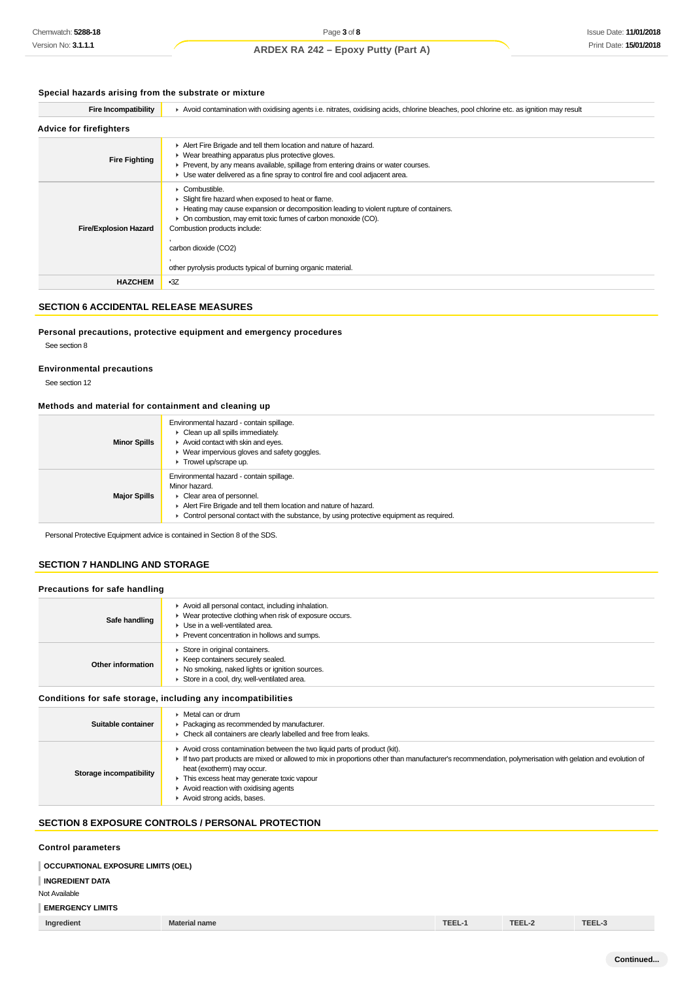## **Special hazards arising from the substrate or mixture**

| <b>Fire Incompatibility</b>    | Avoid contamination with oxidising agents i.e. nitrates, oxidising acids, chlorine bleaches, pool chlorine etc. as ignition may result                                                                                                                                                                                                                   |
|--------------------------------|----------------------------------------------------------------------------------------------------------------------------------------------------------------------------------------------------------------------------------------------------------------------------------------------------------------------------------------------------------|
| <b>Advice for firefighters</b> |                                                                                                                                                                                                                                                                                                                                                          |
| <b>Fire Fighting</b>           | Alert Fire Brigade and tell them location and nature of hazard.<br>• Wear breathing apparatus plus protective gloves.<br>Prevent, by any means available, spillage from entering drains or water courses.<br>► Use water delivered as a fine spray to control fire and cool adjacent area.                                                               |
| <b>Fire/Explosion Hazard</b>   | Combustible.<br>Slight fire hazard when exposed to heat or flame.<br>► Heating may cause expansion or decomposition leading to violent rupture of containers.<br>• On combustion, may emit toxic fumes of carbon monoxide (CO).<br>Combustion products include:<br>carbon dioxide (CO2)<br>other pyrolysis products typical of burning organic material. |
| <b>HAZCHEM</b>                 | $-3Z$                                                                                                                                                                                                                                                                                                                                                    |

#### **SECTION 6 ACCIDENTAL RELEASE MEASURES**

#### **Personal precautions, protective equipment and emergency procedures**

See section 8

#### **Environmental precautions**

See section 12

#### **Methods and material for containment and cleaning up**

| <b>Minor Spills</b> | Environmental hazard - contain spillage.<br>Clean up all spills immediately.<br>$\blacktriangleright$ Avoid contact with skin and eyes.<br>▶ Wear impervious gloves and safety goggles.<br>Trowel up/scrape up.                                                             |
|---------------------|-----------------------------------------------------------------------------------------------------------------------------------------------------------------------------------------------------------------------------------------------------------------------------|
| <b>Major Spills</b> | Environmental hazard - contain spillage.<br>Minor hazard.<br>• Clear area of personnel.<br>Alert Fire Brigade and tell them location and nature of hazard.<br>$\blacktriangleright$ Control personal contact with the substance, by using protective equipment as required. |

Personal Protective Equipment advice is contained in Section 8 of the SDS.

### **SECTION 7 HANDLING AND STORAGE**

#### **Precautions for safe handling**

| Safe handling     | Avoid all personal contact, including inhalation.<br>• Wear protective clothing when risk of exposure occurs.<br>• Use in a well-ventilated area.<br>▶ Prevent concentration in hollows and sumps. |
|-------------------|----------------------------------------------------------------------------------------------------------------------------------------------------------------------------------------------------|
| Other information | Store in original containers.<br>▶ Keep containers securely sealed.<br>▶ No smoking, naked lights or ignition sources.<br>Store in a cool, dry, well-ventilated area.                              |
|                   | Conditions for safe storage, including any incompatibilities                                                                                                                                       |

#### **Suitable container** Metal can or drum Packaging as recommended by manufacturer. Check all containers are clearly labelled and free from leaks. Avoid cross contamination between the two liquid parts of product (kit).

| If two part products are mixed or allowed to mix in proportions other than manufacturer's recommendation, polymerisation with gelation and evolution of<br>heat (exotherm) may occur.<br>Storage incompatibility<br>This excess heat may generate toxic vapour<br>Avoid reaction with oxidising agents<br>Avoid strong acids, bases. |
|--------------------------------------------------------------------------------------------------------------------------------------------------------------------------------------------------------------------------------------------------------------------------------------------------------------------------------------|
|--------------------------------------------------------------------------------------------------------------------------------------------------------------------------------------------------------------------------------------------------------------------------------------------------------------------------------------|

# **SECTION 8 EXPOSURE CONTROLS / PERSONAL PROTECTION**

# **Control parameters**

| <b>CONTROL DATAILICIELS</b>        |                      |        |        |        |
|------------------------------------|----------------------|--------|--------|--------|
| OCCUPATIONAL EXPOSURE LIMITS (OEL) |                      |        |        |        |
| <b>INGREDIENT DATA</b>             |                      |        |        |        |
| Not Available                      |                      |        |        |        |
| <b>EMERGENCY LIMITS</b>            |                      |        |        |        |
| Ingredient                         | <b>Material name</b> | TEEL-1 | TEEL-2 | TEEL-3 |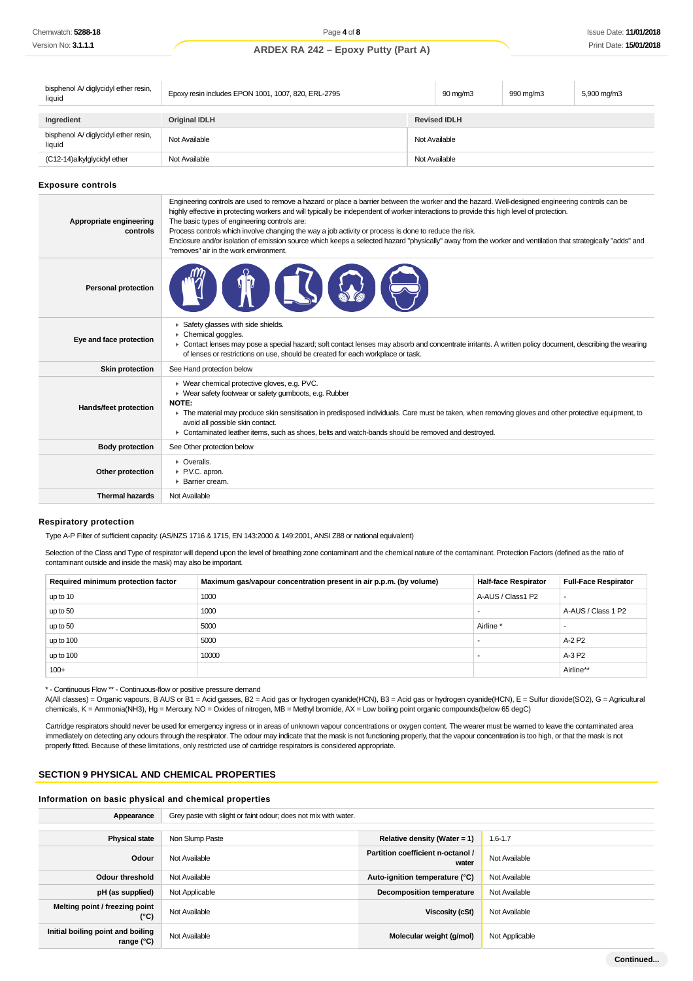| bisphenol A/ diglycidyl ether resin,<br>liquid | Epoxy resin includes EPON 1001, 1007, 820, ERL-2795 |               | 90 mg/m3            | 990 mg/m3 | 5,900 mg/m3 |
|------------------------------------------------|-----------------------------------------------------|---------------|---------------------|-----------|-------------|
|                                                |                                                     |               |                     |           |             |
| Ingredient                                     | <b>Original IDLH</b>                                |               | <b>Revised IDLH</b> |           |             |
| bisphenol A/ diglycidyl ether resin,<br>liquid | Not Available                                       | Not Available |                     |           |             |
| (C12-14)alkylglycidyl ether                    | Not Available                                       | Not Available |                     |           |             |

**Exposure controls**

| Appropriate engineering<br>controls | Engineering controls are used to remove a hazard or place a barrier between the worker and the hazard. Well-designed engineering controls can be<br>highly effective in protecting workers and will typically be independent of worker interactions to provide this high level of protection.<br>The basic types of engineering controls are:<br>Process controls which involve changing the way a job activity or process is done to reduce the risk.<br>Enclosure and/or isolation of emission source which keeps a selected hazard "physically" away from the worker and ventilation that strategically "adds" and<br>"removes" air in the work environment. |
|-------------------------------------|-----------------------------------------------------------------------------------------------------------------------------------------------------------------------------------------------------------------------------------------------------------------------------------------------------------------------------------------------------------------------------------------------------------------------------------------------------------------------------------------------------------------------------------------------------------------------------------------------------------------------------------------------------------------|
| <b>Personal protection</b>          |                                                                                                                                                                                                                                                                                                                                                                                                                                                                                                                                                                                                                                                                 |
| Eye and face protection             | Safety glasses with side shields.<br>Chemical goggles.<br>• Contact lenses may pose a special hazard; soft contact lenses may absorb and concentrate irritants. A written policy document, describing the wearing<br>of lenses or restrictions on use, should be created for each workplace or task.                                                                                                                                                                                                                                                                                                                                                            |
| <b>Skin protection</b>              | See Hand protection below                                                                                                                                                                                                                                                                                                                                                                                                                                                                                                                                                                                                                                       |
| Hands/feet protection               | ▶ Wear chemical protective gloves, e.g. PVC.<br>• Wear safety footwear or safety gumboots, e.g. Rubber<br><b>NOTE:</b><br>The material may produce skin sensitisation in predisposed individuals. Care must be taken, when removing gloves and other protective equipment, to<br>avoid all possible skin contact.<br>► Contaminated leather items, such as shoes, belts and watch-bands should be removed and destroyed.                                                                                                                                                                                                                                        |
| <b>Body protection</b>              | See Other protection below                                                                                                                                                                                                                                                                                                                                                                                                                                                                                                                                                                                                                                      |
| Other protection                    | $\triangleright$ Overalls.<br>▶ P.V.C. apron.<br>▶ Barrier cream.                                                                                                                                                                                                                                                                                                                                                                                                                                                                                                                                                                                               |
| <b>Thermal hazards</b>              | Not Available                                                                                                                                                                                                                                                                                                                                                                                                                                                                                                                                                                                                                                                   |
|                                     |                                                                                                                                                                                                                                                                                                                                                                                                                                                                                                                                                                                                                                                                 |

#### **Respiratory protection**

Type A-P Filter of sufficient capacity. (AS/NZS 1716 & 1715, EN 143:2000 & 149:2001, ANSI Z88 or national equivalent)

Selection of the Class and Type of respirator will depend upon the level of breathing zone contaminant and the chemical nature of the contaminant. Protection Factors (defined as the ratio of contaminant outside and inside the mask) may also be important.

| Required minimum protection factor | Maximum gas/vapour concentration present in air p.p.m. (by volume) | <b>Half-face Respirator</b> | <b>Full-Face Respirator</b> |
|------------------------------------|--------------------------------------------------------------------|-----------------------------|-----------------------------|
| up to 10                           | 1000                                                               | A-AUS / Class1 P2           | $\overline{\phantom{a}}$    |
| up to 50                           | 1000                                                               |                             | A-AUS / Class 1 P2          |
| up to 50                           | 5000                                                               | Airline                     |                             |
| up to 100                          | 5000                                                               |                             | A-2 P2                      |
| up to 100                          | 10000                                                              |                             | A-3 P2                      |
| $100+$                             |                                                                    |                             | Airline**                   |

\* - Continuous Flow \*\* - Continuous-flow or positive pressure demand

A(All classes) = Organic vapours, B AUS or B1 = Acid gasses, B2 = Acid gas or hydrogen cyanide(HCN), B3 = Acid gas or hydrogen cyanide(HCN), E = Sulfur dioxide(SO2), G = Agricultural chemicals, K = Ammonia(NH3), Hg = Mercury, NO = Oxides of nitrogen, MB = Methyl bromide, AX = Low boiling point organic compounds(below 65 degC)

Cartridge respirators should never be used for emergency ingress or in areas of unknown vapour concentrations or oxygen content. The wearer must be warned to leave the contaminated area immediately on detecting any odours through the respirator. The odour may indicate that the mask is not functioning properly, that the vapour concentration is too high, or that the mask is not properly fitted. Because of these limitations, only restricted use of cartridge respirators is considered appropriate.

#### **SECTION 9 PHYSICAL AND CHEMICAL PROPERTIES**

#### **Information on basic physical and chemical properties**

| Appearance                                        | Grey paste with slight or faint odour; does not mix with water. |                                            |                |
|---------------------------------------------------|-----------------------------------------------------------------|--------------------------------------------|----------------|
|                                                   |                                                                 |                                            |                |
| <b>Physical state</b>                             | Non Slump Paste                                                 | Relative density (Water = 1)               | $1.6 - 1.7$    |
| Odour                                             | Not Available                                                   | Partition coefficient n-octanol /<br>water | Not Available  |
| <b>Odour threshold</b>                            | Not Available                                                   | Auto-ignition temperature (°C)             | Not Available  |
| pH (as supplied)                                  | Not Applicable                                                  | <b>Decomposition temperature</b>           | Not Available  |
| Melting point / freezing point<br>(°C)            | Not Available                                                   | Viscosity (cSt)                            | Not Available  |
| Initial boiling point and boiling<br>range $(°C)$ | Not Available                                                   | Molecular weight (g/mol)                   | Not Applicable |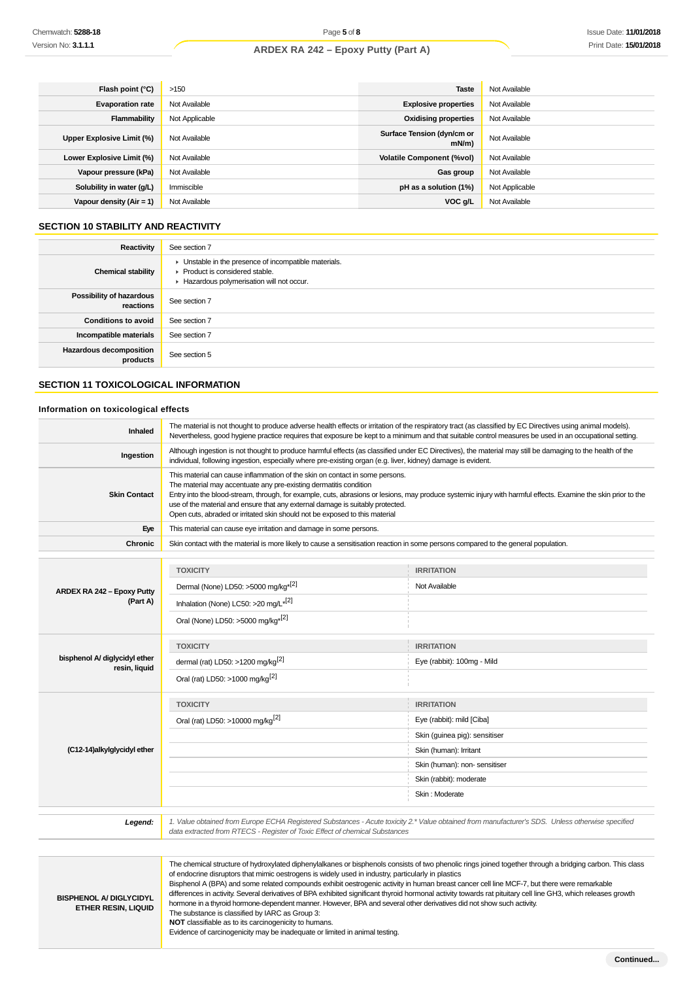| Flash point $(°C)$         | >150           | <b>Taste</b>                           | Not Available  |
|----------------------------|----------------|----------------------------------------|----------------|
| <b>Evaporation rate</b>    | Not Available  | <b>Explosive properties</b>            | Not Available  |
| Flammability               | Not Applicable | <b>Oxidising properties</b>            | Not Available  |
| Upper Explosive Limit (%)  | Not Available  | Surface Tension (dyn/cm or<br>$mN/m$ ) | Not Available  |
| Lower Explosive Limit (%)  | Not Available  | <b>Volatile Component (%vol)</b>       | Not Available  |
| Vapour pressure (kPa)      | Not Available  | Gas group                              | Not Available  |
| Solubility in water (g/L)  | Immiscible     | pH as a solution (1%)                  | Not Applicable |
| Vapour density $(Air = 1)$ | Not Available  | $VOC$ g/L                              | Not Available  |

#### **SECTION 10 STABILITY AND REACTIVITY**

| Reactivity                                 | See section 7                                                                                                                        |
|--------------------------------------------|--------------------------------------------------------------------------------------------------------------------------------------|
| <b>Chemical stability</b>                  | • Unstable in the presence of incompatible materials.<br>▶ Product is considered stable.<br>Hazardous polymerisation will not occur. |
| Possibility of hazardous<br>reactions      | See section 7                                                                                                                        |
| <b>Conditions to avoid</b>                 | See section 7                                                                                                                        |
| Incompatible materials                     | See section 7                                                                                                                        |
| <b>Hazardous decomposition</b><br>products | See section 5                                                                                                                        |

# **SECTION 11 TOXICOLOGICAL INFORMATION**

#### **Information on toxicological effects**

| Inhaled             | The material is not thought to produce adverse health effects or irritation of the respiratory tract (as classified by EC Directives using animal models).<br>Nevertheless, good hygiene practice requires that exposure be kept to a minimum and that suitable control measures be used in an occupational setting.                                                                                                                                                                 |
|---------------------|--------------------------------------------------------------------------------------------------------------------------------------------------------------------------------------------------------------------------------------------------------------------------------------------------------------------------------------------------------------------------------------------------------------------------------------------------------------------------------------|
| Ingestion           | Although ingestion is not thought to produce harmful effects (as classified under EC Directives), the material may still be damaging to the health of the<br>individual, following ingestion, especially where pre-existing organ (e.g. liver, kidney) damage is evident.                                                                                                                                                                                                            |
| <b>Skin Contact</b> | This material can cause inflammation of the skin on contact in some persons.<br>The material may accentuate any pre-existing dermatitis condition<br>Entry into the blood-stream, through, for example, cuts, abrasions or lesions, may produce systemic injury with harmful effects. Examine the skin prior to the<br>use of the material and ensure that any external damage is suitably protected.<br>Open cuts, abraded or irritated skin should not be exposed to this material |
| Eye                 | This material can cause eye irritation and damage in some persons.                                                                                                                                                                                                                                                                                                                                                                                                                   |
| <b>Chronic</b>      | Skin contact with the material is more likely to cause a sensitisation reaction in some persons compared to the general population.                                                                                                                                                                                                                                                                                                                                                  |

| ARDEX RA 242 - Epoxy Putty                     | <b>TOXICITY</b>                                 | <b>IRRITATION</b>             |
|------------------------------------------------|-------------------------------------------------|-------------------------------|
|                                                | Dermal (None) LD50: >5000 mg/kg <sup>*[2]</sup> | Not Available                 |
| (Part A)                                       | Inhalation (None) LC50: >20 mg/L*[2]            |                               |
|                                                | Oral (None) LD50: >5000 mg/kg <sup>*[2]</sup>   |                               |
|                                                | <b>TOXICITY</b>                                 | <b>IRRITATION</b>             |
| bisphenol A/ diglycidyl ether<br>resin, liquid | dermal (rat) LD50: >1200 mg/kg <sup>[2]</sup>   | Eye (rabbit): 100mg - Mild    |
|                                                | Oral (rat) LD50: >1000 mg/kg <sup>[2]</sup>     |                               |
|                                                | <b>TOXICITY</b>                                 | <b>IRRITATION</b>             |
|                                                | Oral (rat) LD50: >10000 mg/kg <sup>[2]</sup>    | Eye (rabbit): mild [Ciba]     |
|                                                |                                                 | Skin (guinea pig): sensitiser |
| (C12-14)alkylglycidyl ether                    |                                                 | Skin (human): Irritant        |
|                                                |                                                 | Skin (human): non- sensitiser |
|                                                |                                                 | Skin (rabbit): moderate       |
|                                                |                                                 | Skin: Moderate                |
|                                                |                                                 |                               |

1. Value obtained from Europe ECHA Registered Substances - Acute toxicity 2.\* Value obtained from manufacturer's SDS. Unless otherwise specified<br>data extracted from RTECS - Register of Toxic Effect of chemical Substances

| <b>BISPHENOL A/ DIGLYCIDYL</b><br><b>ETHER RESIN, LIQUID</b> | The chemical structure of hydroxylated diphenylalkanes or bisphenols consists of two phenolic rings joined together through a bridging carbon. This class<br>of endocrine disruptors that mimic oestrogens is widely used in industry, particularly in plastics<br>Bisphenol A (BPA) and some related compounds exhibit oestrogenic activity in human breast cancer cell line MCF-7, but there were remarkable<br>differences in activity. Several derivatives of BPA exhibited significant thyroid hormonal activity towards rat pituitary cell line GH3, which releases growth<br>hormone in a thyroid hormone-dependent manner. However, BPA and several other derivatives did not show such activity.<br>The substance is classified by IARC as Group 3:<br>NOT classifiable as to its carcinogenicity to humans.<br>Evidence of carcinogenicity may be inadequate or limited in animal testing. |
|--------------------------------------------------------------|------------------------------------------------------------------------------------------------------------------------------------------------------------------------------------------------------------------------------------------------------------------------------------------------------------------------------------------------------------------------------------------------------------------------------------------------------------------------------------------------------------------------------------------------------------------------------------------------------------------------------------------------------------------------------------------------------------------------------------------------------------------------------------------------------------------------------------------------------------------------------------------------------|

**Continued...**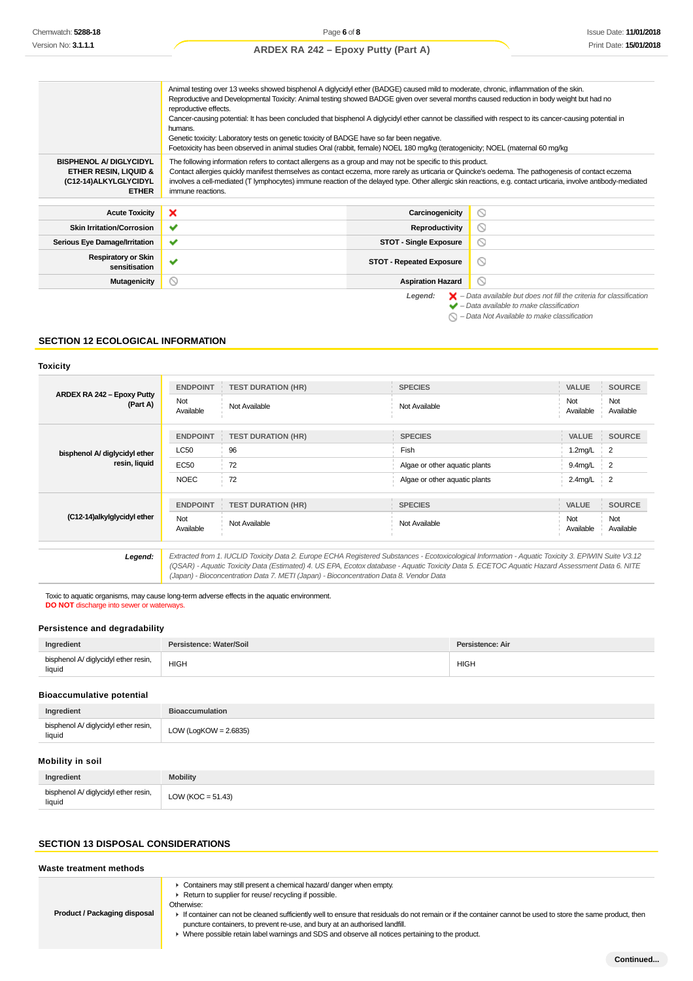|                                                                                                  | Animal testing over 13 weeks showed bisphenol A diglycidyl ether (BADGE) caused mild to moderate, chronic, inflammation of the skin.<br>Reproductive and Developmental Toxicity: Animal testing showed BADGE given over several months caused reduction in body weight but had no<br>reproductive effects.<br>Cancer-causing potential: It has been concluded that bisphenol A diglycidyl ether cannot be classified with respect to its cancer-causing potential in<br>humans.<br>Genetic toxicity: Laboratory tests on genetic toxicity of BADGE have so far been negative.<br>Foetoxicity has been observed in animal studies Oral (rabbit, female) NOEL 180 mg/kg (teratogenicity; NOEL (maternal 60 mg/kg |                                 |                                                                                                                                                           |
|--------------------------------------------------------------------------------------------------|----------------------------------------------------------------------------------------------------------------------------------------------------------------------------------------------------------------------------------------------------------------------------------------------------------------------------------------------------------------------------------------------------------------------------------------------------------------------------------------------------------------------------------------------------------------------------------------------------------------------------------------------------------------------------------------------------------------|---------------------------------|-----------------------------------------------------------------------------------------------------------------------------------------------------------|
| <b>BISPHENOL A/ DIGLYCIDYL</b><br>ETHER RESIN, LIQUID &<br>(C12-14)ALKYLGLYCIDYL<br><b>ETHER</b> | The following information refers to contact allergens as a group and may not be specific to this product.<br>Contact allergies quickly manifest themselves as contact eczema, more rarely as urticaria or Quincke's oedema. The pathogenesis of contact eczema<br>involves a cell-mediated (T lymphocytes) immune reaction of the delayed type. Other allergic skin reactions, e.g. contact urticaria, involve antibody-mediated<br>immune reactions.                                                                                                                                                                                                                                                          |                                 |                                                                                                                                                           |
| <b>Acute Toxicity</b>                                                                            | ×                                                                                                                                                                                                                                                                                                                                                                                                                                                                                                                                                                                                                                                                                                              | Carcinogenicity                 | ⊚                                                                                                                                                         |
| <b>Skin Irritation/Corrosion</b>                                                                 | $\checkmark$                                                                                                                                                                                                                                                                                                                                                                                                                                                                                                                                                                                                                                                                                                   | Reproductivity                  | ⊚                                                                                                                                                         |
| Serious Eye Damage/Irritation                                                                    | ✔                                                                                                                                                                                                                                                                                                                                                                                                                                                                                                                                                                                                                                                                                                              | <b>STOT - Single Exposure</b>   | ⊚                                                                                                                                                         |
| <b>Respiratory or Skin</b><br>sensitisation                                                      | ✔                                                                                                                                                                                                                                                                                                                                                                                                                                                                                                                                                                                                                                                                                                              | <b>STOT - Repeated Exposure</b> | N                                                                                                                                                         |
| <b>Mutagenicity</b>                                                                              | $\odot$                                                                                                                                                                                                                                                                                                                                                                                                                                                                                                                                                                                                                                                                                                        | <b>Aspiration Hazard</b>        | ⊚                                                                                                                                                         |
|                                                                                                  |                                                                                                                                                                                                                                                                                                                                                                                                                                                                                                                                                                                                                                                                                                                | Legend:                         | $\blacktriangleright$ - Data available but does not fill the criteria for classification<br>$\blacktriangleright$ - Data available to make classification |

- $\bigcirc$  Data Not Available to make classification
	-

### **SECTION 12 ECOLOGICAL INFORMATION**

#### **Toxicity**

|                                        | <b>ENDPOINT</b>  | <b>TEST DURATION (HR)</b>                                                                                                                         | <b>SPECIES</b>                | VALUE            | <b>SOURCE</b>              |
|----------------------------------------|------------------|---------------------------------------------------------------------------------------------------------------------------------------------------|-------------------------------|------------------|----------------------------|
| ARDEX RA 242 - Epoxy Putty<br>(Part A) | Not<br>Available | Not Available                                                                                                                                     | Not Available                 | Not<br>Available | Not<br>Available           |
|                                        | <b>ENDPOINT</b>  | <b>TEST DURATION (HR)</b>                                                                                                                         | <b>SPECIES</b>                | VALUE            | <b>SOURCE</b>              |
| bisphenol A/ diglycidyl ether          | <b>LC50</b>      | 96                                                                                                                                                | Fish                          | 1.2mg/L          | $\overline{2}$             |
| resin, liquid                          | EC50             | 72                                                                                                                                                | Algae or other aquatic plants | $9.4$ mg/L       | $\overline{\phantom{0}}^2$ |
|                                        | <b>NOEC</b>      | 72                                                                                                                                                | Algae or other aquatic plants | $2.4$ mg/L       | $\overline{2}$             |
|                                        | <b>ENDPOINT</b>  | <b>TEST DURATION (HR)</b>                                                                                                                         | <b>SPECIES</b>                | <b>VALUE</b>     | <b>SOURCE</b>              |
| (C12-14)alkylglycidyl ether            | Not<br>Available | Not Available                                                                                                                                     | Not Available                 | Not<br>Available | Not<br>Available           |
| l enend:                               |                  | Extracted from 1 ILICLID Toxicity Data 2 Furope ECHA Registered Substances - Ecotoxicological Information - Aquatic Toxicity 3 FPIWIN Suite V3 12 |                               |                  |                            |

13.12 Extracted from 1. IUCLID Toxicity Data 2. Europe ECHA Registered Substances - Ecotoxicological Information - Aquatic Toxicity 3. EPIWIN Suite V3.12<br>QSAR) - Aquatic Toxicity Data (Estimated) 4. US EPA, Ecotox database (Japan) - Bioconcentration Data 7. METI (Japan) - Bioconcentration Data 8. Vendor Data

Toxic to aquatic organisms, may cause long-term adverse effects in the aquatic environment.

**DO NOT** discharge into sewer or waterways.

#### **Persistence and degradability**

| Ingredient                                     | Persistence: Water/Soil | <b>Persistence: Air</b> |
|------------------------------------------------|-------------------------|-------------------------|
| bisphenol A/ diglycidyl ether resin,<br>liquid | <b>HIGH</b>             | <b>HIGH</b>             |

# **Bioaccumulative potential**

| Ingredient                                     | <b>Bioaccumulation</b> |
|------------------------------------------------|------------------------|
| bisphenol A/ diglycidyl ether resin,<br>liquid | LOW (LogKOW = 2.6835)  |

#### **Mobility in soil**

| Ingredient                                     | <b>Mobility</b>       |
|------------------------------------------------|-----------------------|
| bisphenol A/ diglycidyl ether resin,<br>liquid | LOW ( $KOC = 51.43$ ) |

#### **SECTION 13 DISPOSAL CONSIDERATIONS**

#### **Waste treatment methods**

Containers may still present a chemical hazard/ danger when empty.

▶ Return to supplier for reuse/ recycling if possible.

**Product / Packaging disposal**

Otherwise:

- If container can not be cleaned sufficiently well to ensure that residuals do not remain or if the container cannot be used to store the same product, then puncture containers, to prevent re-use, and bury at an authorised landfill.
	- Where possible retain label warnings and SDS and observe all notices pertaining to the product.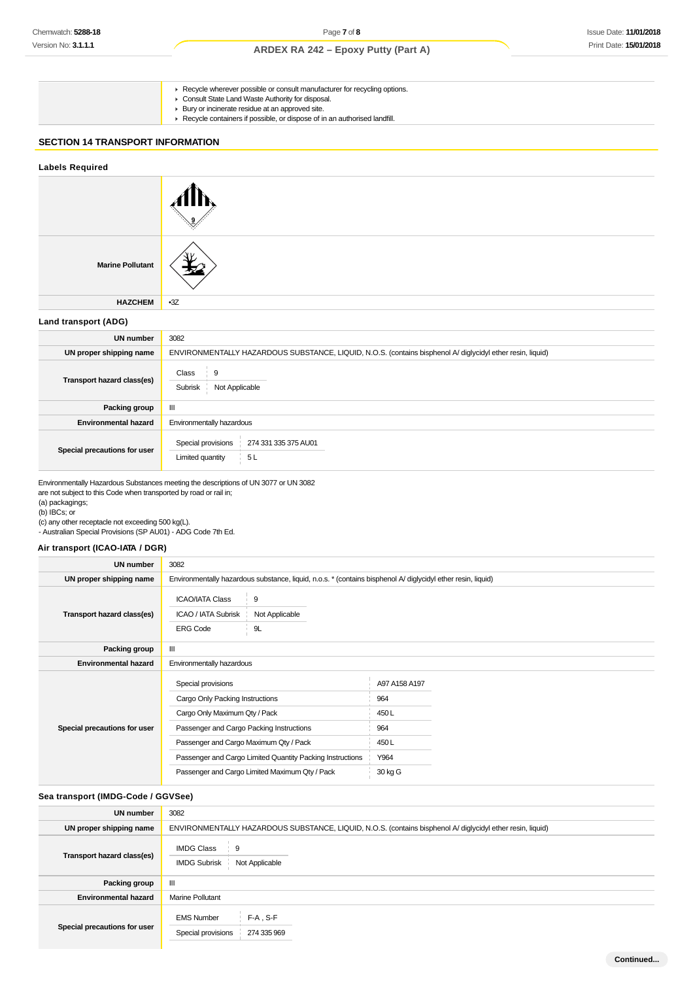- ► Recycle wherever possible or consult manufacturer for recycling options. Consult State Land Waste Authority for disposal.
	- Bury or incinerate residue at an approved site.
	- Recycle containers if possible, or dispose of in an authorised landfill.

### **SECTION 14 TRANSPORT INFORMATION**

| <b>Labels Required</b>       |                                                                                                            |
|------------------------------|------------------------------------------------------------------------------------------------------------|
|                              |                                                                                                            |
| <b>Marine Pollutant</b>      |                                                                                                            |
| <b>HAZCHEM</b>               | $-3Z$                                                                                                      |
| Land transport (ADG)         |                                                                                                            |
| <b>UN number</b>             | 3082                                                                                                       |
| UN proper shipping name      | ENVIRONMENTALLY HAZARDOUS SUBSTANCE, LIQUID, N.O.S. (contains bisphenol A/ diglycidyl ether resin, liquid) |
| Transport hazard class(es)   | 9<br>Class<br>Subrisk Not Applicable                                                                       |
| Packing group                | $\ensuremath{\mathsf{III}}\xspace$                                                                         |
| <b>Environmental hazard</b>  | Environmentally hazardous                                                                                  |
| Special precautions for user | Special provisions<br>274 331 335 375 AU01<br>Limited quantity<br>5L                                       |

Environmentally Hazardous Substances meeting the descriptions of UN 3077 or UN 3082 are not subject to this Code when transported by road or rail in;

(a) packagings; (b) IBCs; or

(c) any other receptacle not exceeding 500 kg(L).

- Australian Special Provisions (SP AU01) - ADG Code 7th Ed.

### **Air transport (ICAO-IATA / DGR)**

| UN number                    | 3082                                                                                                                                                                         |                                                                                                              |                                             |  |
|------------------------------|------------------------------------------------------------------------------------------------------------------------------------------------------------------------------|--------------------------------------------------------------------------------------------------------------|---------------------------------------------|--|
| UN proper shipping name      |                                                                                                                                                                              | Environmentally hazardous substance, liquid, n.o.s. * (contains bisphenol A/ diglycidyl ether resin, liquid) |                                             |  |
| Transport hazard class(es)   | <b>ICAO/IATA Class</b><br>ICAO / IATA Subrisk<br><b>ERG Code</b>                                                                                                             | 9<br>Not Applicable<br>9L                                                                                    |                                             |  |
| Packing group                | III                                                                                                                                                                          |                                                                                                              |                                             |  |
| <b>Environmental hazard</b>  | Environmentally hazardous                                                                                                                                                    |                                                                                                              |                                             |  |
| Special precautions for user | Special provisions<br>Cargo Only Packing Instructions<br>Cargo Only Maximum Qty / Pack<br>Passenger and Cargo Packing Instructions<br>Passenger and Cargo Maximum Qty / Pack |                                                                                                              | A97 A158 A197<br>964<br>450L<br>964<br>450L |  |
|                              | Passenger and Cargo Limited Quantity Packing Instructions                                                                                                                    |                                                                                                              | Y964                                        |  |
|                              |                                                                                                                                                                              | Passenger and Cargo Limited Maximum Qty / Pack                                                               | 30 kg G                                     |  |

### **Sea transport (IMDG-Code / GGVSee)**

| UN number                    | 3082                                                                                                       |
|------------------------------|------------------------------------------------------------------------------------------------------------|
| UN proper shipping name      | ENVIRONMENTALLY HAZARDOUS SUBSTANCE, LIQUID, N.O.S. (contains bisphenol A/ diglycidyl ether resin, liquid) |
| Transport hazard class(es)   | <b>IMDG Class</b><br>∶ 9<br><b>IMDG Subrisk</b><br>Not Applicable                                          |
| Packing group                | Ш                                                                                                          |
| <b>Environmental hazard</b>  | <b>Marine Pollutant</b>                                                                                    |
| Special precautions for user | $F-A$ , S-F<br><b>EMS Number</b><br>274 335 969<br>Special provisions                                      |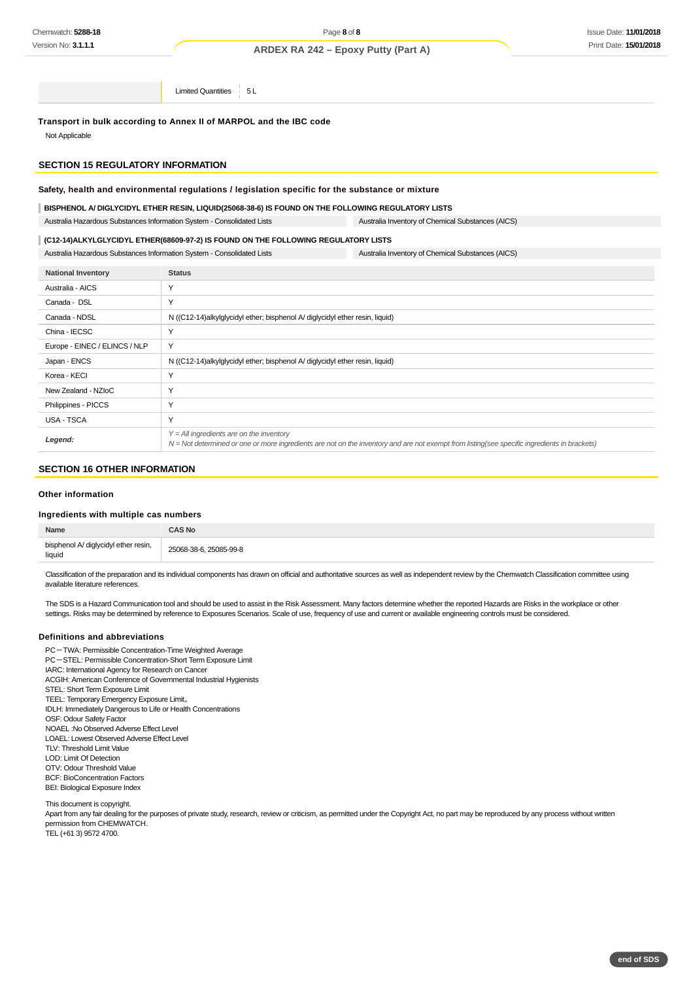Limited Quantities 5L

**Transport in bulk according to Annex II of MARPOL and the IBC code** Not Applicable

#### **SECTION 15 REGULATORY INFORMATION**

#### **Safety, health and environmental regulations / legislation specific for the substance or mixture**

#### **BISPHENOL A/ DIGLYCIDYL ETHER RESIN, LIQUID(25068-38-6) IS FOUND ON THE FOLLOWING REGULATORY LISTS**

Australia Hazardous Substances Information System - Consolidated Lists Australia Inventory of Chemical Substances (AICS)

## **(C12-14)ALKYLGLYCIDYL ETHER(68609-97-2) IS FOUND ON THE FOLLOWING REGULATORY LISTS**

Australia Hazardous Substances Information System - Consolidated Lists Australia Inventory of Chemical Substances (AICS)

| <b>National Inventory</b>     | <b>Status</b>                                                                                                                                                                                |
|-------------------------------|----------------------------------------------------------------------------------------------------------------------------------------------------------------------------------------------|
| Australia - AICS              | Y                                                                                                                                                                                            |
| Canada - DSL                  | Y                                                                                                                                                                                            |
| Canada - NDSL                 | N ((C12-14)alkylglycidyl ether; bisphenol A/ diglycidyl ether resin, liquid)                                                                                                                 |
| China - IECSC                 | Υ                                                                                                                                                                                            |
| Europe - EINEC / ELINCS / NLP | Y                                                                                                                                                                                            |
| Japan - ENCS                  | N ((C12-14)alkylglycidyl ether; bisphenol A/ diglycidyl ether resin, liquid)                                                                                                                 |
| Korea - KECI                  | Υ                                                                                                                                                                                            |
| New Zealand - NZIoC           | Υ                                                                                                                                                                                            |
| Philippines - PICCS           | Y                                                                                                                                                                                            |
| USA - TSCA                    | Υ                                                                                                                                                                                            |
| Legend:                       | $Y = All$ ingredients are on the inventory<br>$N = Not$ determined or one or more ingredients are not on the inventory and are not exempt from listing(see specific ingredients in brackets) |

#### **SECTION 16 OTHER INFORMATION**

#### **Other information**

#### **Ingredients with multiple cas numbers**

| Name                                           | <b>AS No:</b>          |
|------------------------------------------------|------------------------|
| bisphenol A/ diglycidyl ether resin,<br>liquid | 25068-38-6, 25085-99-8 |

Classification of the preparation and its individual components has drawn on official and authoritative sources as well as independent review by the Chemwatch Classification committee using available literature references.

The SDS is a Hazard Communication tool and should be used to assist in the Risk Assessment. Many factors determine whether the reported Hazards are Risks in the workplace or other settings. Risks may be determined by reference to Exposures Scenarios. Scale of use, frequency of use and current or available engineering controls must be considered.

#### **Definitions and abbreviations**

PC-TWA: Permissible Concentration-Time Weighted Average PC-STEL: Permissible Concentration-Short Term Exposure Limit IARC: International Agency for Research on Cancer ACGIH: American Conference of Governmental Industrial Hygienists STEL: Short Term Exposure Limit TEEL: Temporary Emergency Exposure Limit。 IDLH: Immediately Dangerous to Life or Health Concentrations OSF: Odour Safety Factor NOAEL :No Observed Adverse Effect Level LOAEL: Lowest Observed Adverse Effect Level TLV: Threshold Limit Value LOD: Limit Of Detection OTV: Odour Threshold Value BCF: BioConcentration Factors BEI: Biological Exposure Index

This document is copyright.

Apart from any fair dealing for the purposes of private study, research, review or criticism, as permitted under the Copyright Act, no part may be reproduced by any process without written permission from CHEMWATCH. TEL (+61 3) 9572 4700.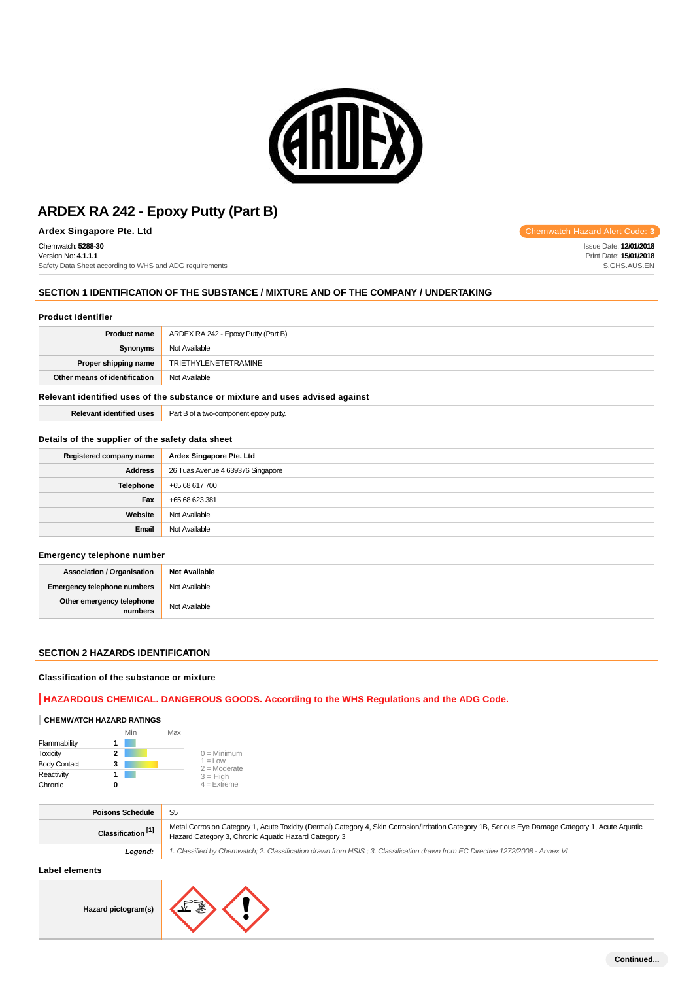

**Ardex Singapore Pte. Ltd** Code: 3

Chemwatch: **5288-30** Version No: **4.1.1.1**

Safety Data Sheet according to WHS and ADG requirements

### **SECTION 1 IDENTIFICATION OF THE SUBSTANCE / MIXTURE AND OF THE COMPANY / UNDERTAKING**

#### **Product Identifier**

| <b>Product name</b>                                                           | ARDEX RA 242 - Epoxy Putty (Part B) |
|-------------------------------------------------------------------------------|-------------------------------------|
| Synonyms                                                                      | Not Available                       |
| Proper shipping name                                                          | TRIETHYLENETETRAMINE                |
| Other means of identification                                                 | Not Available                       |
| Delayant identified uses of the substance as mivture and uses advised analyst |                                     |

#### **Relevant identified uses of the substance or mixture and uses advised against**

| .<br>$D$ ala $\cdots$<br>rmed<br>ren<br>. | Part.<br>*** epoxy putty.<br><b>GLIVVL</b><br>. |
|-------------------------------------------|-------------------------------------------------|
|                                           |                                                 |

#### **Details of the supplier of the safety data sheet**

| Registered company name | Ardex Singapore Pte. Ltd          |
|-------------------------|-----------------------------------|
| <b>Address</b>          | 26 Tuas Avenue 4 639376 Singapore |
| Telephone               | +65 68 617 700                    |
| Fax                     | +65 68 623 381                    |
| Website                 | Not Available                     |
| Email                   | Not Available                     |

#### **Emergency telephone number**

| <b>Association / Organisation</b>    | <b>Not Available</b> |
|--------------------------------------|----------------------|
| Emergency telephone numbers          | Not Available        |
| Other emergency telephone<br>numbers | Not Available        |

#### **SECTION 2 HAZARDS IDENTIFICATION**

#### **Classification of the substance or mixture**

#### **HAZARDOUS CHEMICAL. DANGEROUS GOODS. According to the WHS Regulations and the ADG Code.**

#### **CHEMWATCH HAZARD RATINGS**

|                     | Min | Max |                              |
|---------------------|-----|-----|------------------------------|
| Flammability        |     |     |                              |
| <b>Toxicity</b>     | 2   |     | $0 =$ Minimum                |
| <b>Body Contact</b> | 3   |     | $1 = 1$ OW<br>$2 =$ Moderate |
| Reactivity          |     |     | $3 = High$                   |
| Chronic             |     |     | $4 =$ Extreme                |

| <b>Poisons Schedule</b>       | S <sub>5</sub>                                                                                                                                                                                              |
|-------------------------------|-------------------------------------------------------------------------------------------------------------------------------------------------------------------------------------------------------------|
| Classification <sup>[1]</sup> | Metal Corrosion Category 1, Acute Toxicity (Dermal) Category 4, Skin Corrosion/Irritation Category 1B, Serious Eye Damage Category 1, Acute Aquatic<br>Hazard Category 3, Chronic Aquatic Hazard Category 3 |
| Leaend:                       | 1. Classified by Chemwatch; 2. Classification drawn from HSIS; 3. Classification drawn from EC Directive 1272/2008 - Annex VI                                                                               |
|                               |                                                                                                                                                                                                             |

#### **Label elements**



Issue Date: **12/01/2018** Print Date: **15/01/2018** S.GHS.AUS.EN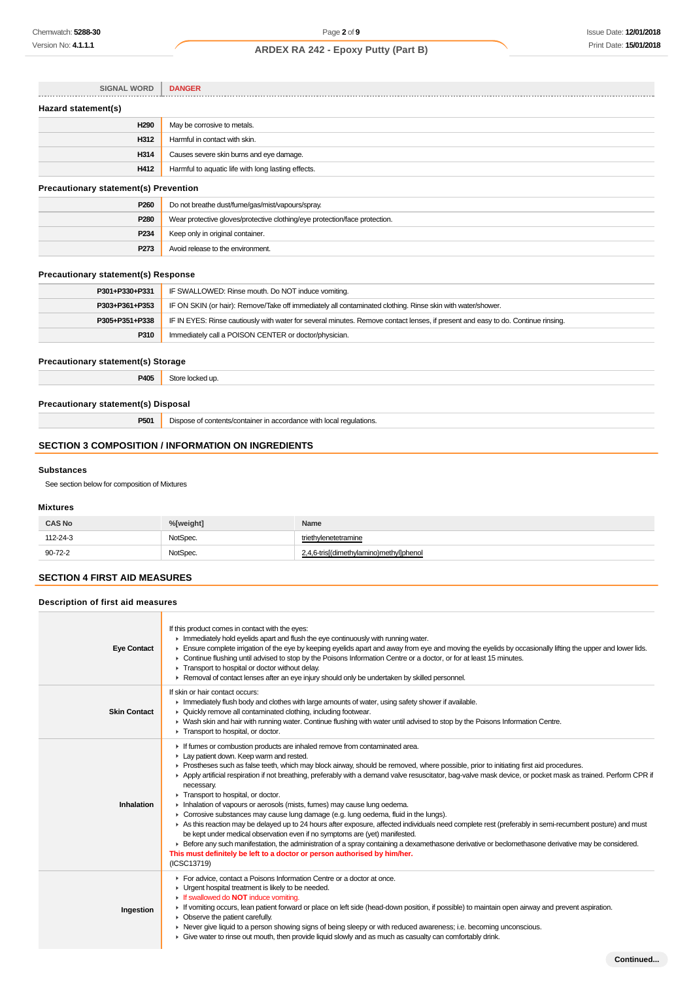| <b>SIGNAL WORD</b>                           | <b>DANGER</b>                                                              |  |
|----------------------------------------------|----------------------------------------------------------------------------|--|
| Hazard statement(s)                          |                                                                            |  |
| H <sub>290</sub>                             | May be corrosive to metals.                                                |  |
| H312                                         | Harmful in contact with skin.                                              |  |
| H314                                         | Causes severe skin burns and eye damage.                                   |  |
| H412                                         | Harmful to aquatic life with long lasting effects.                         |  |
| <b>Precautionary statement(s) Prevention</b> |                                                                            |  |
| P <sub>260</sub>                             | Do not breathe dust/fume/gas/mist/vapours/spray.                           |  |
| P <sub>280</sub>                             | Wear protective gloves/protective clothing/eye protection/face protection. |  |
| P <sub>234</sub>                             | Keep only in original container.                                           |  |

#### **Precautionary statement(s) Response**

| P301+P330+P331 | IF SWALLOWED: Rinse mouth. Do NOT induce vomiting.                                                                               |
|----------------|----------------------------------------------------------------------------------------------------------------------------------|
| P303+P361+P353 | IF ON SKIN (or hair): Remove/Take off immediately all contaminated clothing. Rinse skin with water/shower.                       |
| P305+P351+P338 | IF IN EYES: Rinse cautiously with water for several minutes. Remove contact lenses, if present and easy to do. Continue rinsing. |
| P310           | Immediately call a POISON CENTER or doctor/physician.                                                                            |

### **Precautionary statement(s) Storage**

**P405** Store locked up.

**P273** Avoid release to the environment.

### **Precautionary statement(s) Disposal**

**P501** Dispose of contents/container in accordance with local regulations.

### **SECTION 3 COMPOSITION / INFORMATION ON INGREDIENTS**

#### **Substances**

See section below for composition of Mixtures

#### **Mixtures**

| <b>CAS No</b> | %[weight] | Name                                    |
|---------------|-----------|-----------------------------------------|
| 112-24-3      | NotSpec.  | triethylenetetramine                    |
| $90 - 72 - 2$ | NotSpec.  | 2,4,6-tris[(dimethylamino)methyl]phenol |

# **SECTION 4 FIRST AID MEASURES**

#### **Description of first aid measures**

| <b>Eye Contact</b>  | If this product comes in contact with the eyes:<br>In Immediately hold eyelids apart and flush the eye continuously with running water.<br>Ensure complete irrigation of the eye by keeping eyelids apart and away from eye and moving the eyelids by occasionally lifting the upper and lower lids.<br>► Continue flushing until advised to stop by the Poisons Information Centre or a doctor, or for at least 15 minutes.<br>Transport to hospital or doctor without delay.<br>► Removal of contact lenses after an eye injury should only be undertaken by skilled personnel.                                                                                                                                                                                                                                                                                                                                                                                                                                                                                                                                                                  |
|---------------------|----------------------------------------------------------------------------------------------------------------------------------------------------------------------------------------------------------------------------------------------------------------------------------------------------------------------------------------------------------------------------------------------------------------------------------------------------------------------------------------------------------------------------------------------------------------------------------------------------------------------------------------------------------------------------------------------------------------------------------------------------------------------------------------------------------------------------------------------------------------------------------------------------------------------------------------------------------------------------------------------------------------------------------------------------------------------------------------------------------------------------------------------------|
| <b>Skin Contact</b> | If skin or hair contact occurs:<br>Immediately flush body and clothes with large amounts of water, using safety shower if available.<br>• Quickly remove all contaminated clothing, including footwear.<br>▶ Wash skin and hair with running water. Continue flushing with water until advised to stop by the Poisons Information Centre.<br>Transport to hospital, or doctor.                                                                                                                                                                                                                                                                                                                                                                                                                                                                                                                                                                                                                                                                                                                                                                     |
| Inhalation          | If fumes or combustion products are inhaled remove from contaminated area.<br>Lay patient down. Keep warm and rested.<br>▶ Prostheses such as false teeth, which may block airway, should be removed, where possible, prior to initiating first aid procedures.<br>Apply artificial respiration if not breathing, preferably with a demand valve resuscitator, bag-valve mask device, or pocket mask as trained. Perform CPR if<br>necessary.<br>Transport to hospital, or doctor.<br>Inhalation of vapours or aerosols (mists, fumes) may cause lung oedema.<br>• Corrosive substances may cause lung damage (e.g. lung oedema, fluid in the lungs).<br>As this reaction may be delayed up to 24 hours after exposure, affected individuals need complete rest (preferably in semi-recumbent posture) and must<br>be kept under medical observation even if no symptoms are (yet) manifested.<br>Exercise any such manifestation, the administration of a spray containing a dexamethasone derivative or beclomethasone derivative may be considered.<br>This must definitely be left to a doctor or person authorised by him/her.<br>(ICSC13719) |
| Ingestion           | For advice, contact a Poisons Information Centre or a doctor at once.<br>• Urgent hospital treatment is likely to be needed.<br>If swallowed do NOT induce vomiting.<br>If vomiting occurs, lean patient forward or place on left side (head-down position, if possible) to maintain open airway and prevent aspiration.<br>• Observe the patient carefully.<br>► Never give liquid to a person showing signs of being sleepy or with reduced awareness; i.e. becoming unconscious.<br>• Give water to rinse out mouth, then provide liquid slowly and as much as casualty can comfortably drink.                                                                                                                                                                                                                                                                                                                                                                                                                                                                                                                                                  |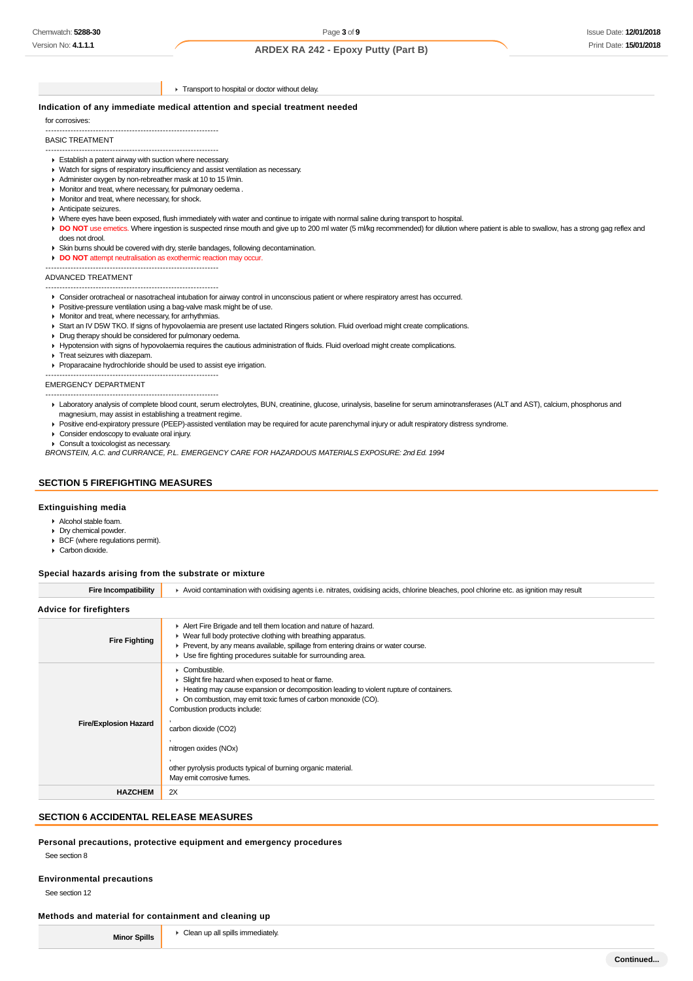► Transport to hospital or doctor without delay.

#### **Indication of any immediate medical attention and special treatment needed**

for corrosives:

-------------------------------------------------------------- BASIC TREATMENT

# --------------------------------------------------------------

- Establish a patent airway with suction where necessary.
- Watch for signs of respiratory insufficiency and assist ventilation as necessary.
- Administer oxygen by non-rebreather mask at 10 to 15 l/min.
- Monitor and treat, where necessary, for pulmonary oedema .
- **Monitor and treat, where necessary, for shock.**
- Anticipate seizures.
- Where eyes have been exposed, flush immediately with water and continue to irrigate with normal saline during transport to hospital.
- DO NOT use emetics. Where ingestion is suspected rinse mouth and give up to 200 ml water (5 ml/kg recommended) for dilution where patient is able to swallow, has a strong gag reflex and does not drool.
- Skin burns should be covered with dry, sterile bandages, following decontamination.
- **DO NOT** attempt neutralisation as exothermic reaction may occur.

-------------------------------------------------------------- ADVANCED TREATMENT

--------------------------------------------------------------

Consider orotracheal or nasotracheal intubation for airway control in unconscious patient or where respiratory arrest has occurred.

- Positive-pressure ventilation using a bag-valve mask might be of use.
- **Monitor and treat, where necessary, for arrhythmias.**
- Start an IV D5W TKO. If signs of hypovolaemia are present use lactated Ringers solution. Fluid overload might create complications.
- Drug therapy should be considered for pulmonary oedema.
- Hypotension with signs of hypovolaemia requires the cautious administration of fluids. Fluid overload might create complications.
- **Treat seizures with diazepam.**

Proparacaine hydrochloride should be used to assist eye irrigation.

-------------------------------------------------------------- EMERGENCY DEPARTMENT

- --------------------------------------------------------------
- Laboratory analysis of complete blood count, serum electrolytes, BUN, creatinine, glucose, urinalysis, baseline for serum aminotransferases (ALT and AST), calcium, phosphorus and magnesium, may assist in establishing a treatment regime.
- Positive end-expiratory pressure (PEEP)-assisted ventilation may be required for acute parenchymal injury or adult respiratory distress syndrome.
- Consider endoscopy to evaluate oral injury.
- Consult a toxicologist as necessary.

BRONSTEIN, A.C. and CURRANCE, P.L. EMERGENCY CARE FOR HAZARDOUS MATERIALS EXPOSURE: 2nd Ed. 1994

# **SECTION 5 FIREFIGHTING MEASURES**

#### **Extinguishing media**

- Alcohol stable foam.
- Dry chemical powder.
- BCF (where regulations permit). Carbon dioxide.

# **Special hazards arising from the substrate or mixture**

| <b>Fire Incompatibility</b>    | Avoid contamination with oxidising agents i.e. nitrates, oxidising acids, chlorine bleaches, pool chlorine etc. as ignition may result                                                                                                                                                                                                                                                                           |  |  |
|--------------------------------|------------------------------------------------------------------------------------------------------------------------------------------------------------------------------------------------------------------------------------------------------------------------------------------------------------------------------------------------------------------------------------------------------------------|--|--|
| <b>Advice for firefighters</b> |                                                                                                                                                                                                                                                                                                                                                                                                                  |  |  |
| <b>Fire Fighting</b>           | Alert Fire Brigade and tell them location and nature of hazard.<br>• Wear full body protective clothing with breathing apparatus.<br>► Prevent, by any means available, spillage from entering drains or water course.<br>• Use fire fighting procedures suitable for surrounding area.                                                                                                                          |  |  |
| <b>Fire/Explosion Hazard</b>   | • Combustible.<br>Slight fire hazard when exposed to heat or flame.<br>• Heating may cause expansion or decomposition leading to violent rupture of containers.<br>• On combustion, may emit toxic fumes of carbon monoxide (CO).<br>Combustion products include:<br>carbon dioxide (CO2)<br>nitrogen oxides (NOx)<br>other pyrolysis products typical of burning organic material.<br>May emit corrosive fumes. |  |  |
| <b>HAZCHEM</b>                 | 2X                                                                                                                                                                                                                                                                                                                                                                                                               |  |  |

# **SECTION 6 ACCIDENTAL RELEASE MEASURES**

### **Personal precautions, protective equipment and emergency procedures**

See section 8

#### **Environmental precautions**

See section 12

#### **Methods and material for containment and cleaning up**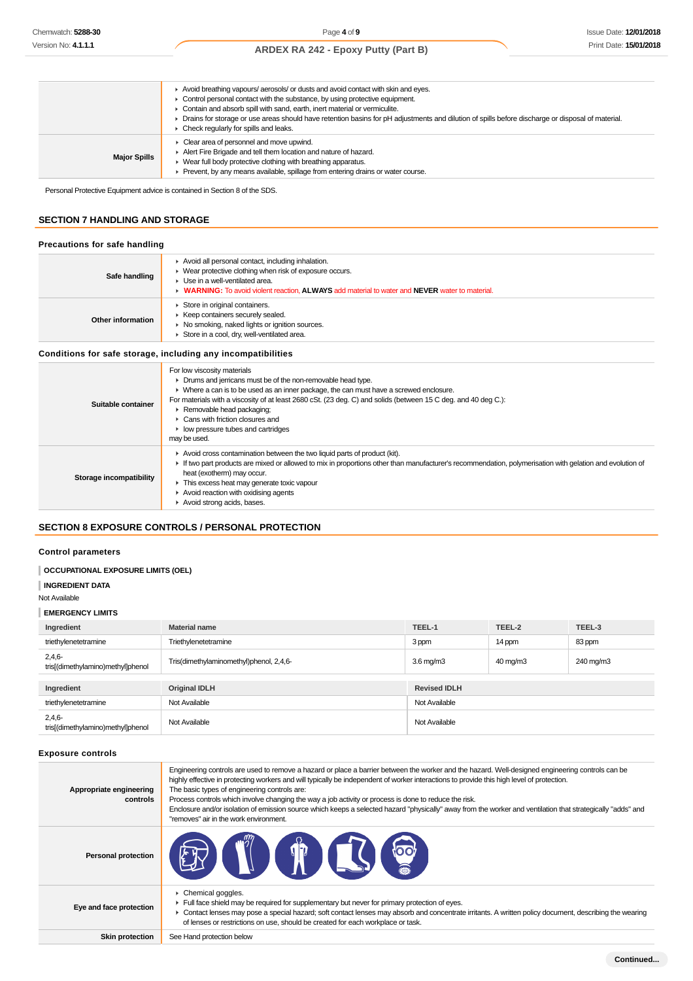|                     | Avoid breathing vapours/ aerosols/ or dusts and avoid contact with skin and eyes.<br>• Control personal contact with the substance, by using protective equipment.<br>Contain and absorb spill with sand, earth, inert material or vermiculite.<br>> Drains for storage or use areas should have retention basins for pH adjustments and dilution of spills before discharge or disposal of material.<br>$\triangleright$ Check regularly for spills and leaks. |
|---------------------|-----------------------------------------------------------------------------------------------------------------------------------------------------------------------------------------------------------------------------------------------------------------------------------------------------------------------------------------------------------------------------------------------------------------------------------------------------------------|
| <b>Major Spills</b> | $\blacktriangleright$ Clear area of personnel and move upwind.<br>Alert Fire Brigade and tell them location and nature of hazard.<br>• Wear full body protective clothing with breathing apparatus.<br>• Prevent, by any means available, spillage from entering drains or water course.                                                                                                                                                                        |

Personal Protective Equipment advice is contained in Section 8 of the SDS.

# **SECTION 7 HANDLING AND STORAGE**

#### **Precautions for safe handling**

| Safe handling     | Avoid all personal contact, including inhalation.<br>• Wear protective clothing when risk of exposure occurs.<br>• Use in a well-ventilated area.<br>• WARNING: To avoid violent reaction. ALWAYS add material to water and NEVER water to material. |
|-------------------|------------------------------------------------------------------------------------------------------------------------------------------------------------------------------------------------------------------------------------------------------|
| Other information | Store in original containers.<br>▶ Keep containers securely sealed.<br>▶ No smoking, naked lights or ignition sources.<br>Store in a cool, dry, well-ventilated area.                                                                                |

#### **Conditions for safe storage, including any incompatibilities**

| Suitable container      | For low viscosity materials<br>• Drums and jerricans must be of the non-removable head type.<br>• Where a can is to be used as an inner package, the can must have a screwed enclosure.<br>For materials with a viscosity of at least 2680 cSt. (23 deg. C) and solids (between 15 C deg. and 40 deg C.):<br>Removable head packaging;<br>$\triangleright$ Cans with friction closures and<br>$\blacktriangleright$ low pressure tubes and cartridges<br>may be used. |
|-------------------------|-----------------------------------------------------------------------------------------------------------------------------------------------------------------------------------------------------------------------------------------------------------------------------------------------------------------------------------------------------------------------------------------------------------------------------------------------------------------------|
| Storage incompatibility | Avoid cross contamination between the two liquid parts of product (kit).<br>If two part products are mixed or allowed to mix in proportions other than manufacturer's recommendation, polymerisation with gelation and evolution of<br>heat (exotherm) may occur.<br>This excess heat may generate toxic vapour<br>Avoid reaction with oxidising agents<br>Avoid strong acids, bases.                                                                                 |

# **SECTION 8 EXPOSURE CONTROLS / PERSONAL PROTECTION**

#### **Control parameters**

### **OCCUPATIONAL EXPOSURE LIMITS (OEL)**

**INGREDIENT DATA**

#### Not Available

#### **EMERGENCY LIMITS**

| Ingredient                                    | <b>Material name</b>                    | TEEL-1              | TEEL-2              | TEEL-3    |
|-----------------------------------------------|-----------------------------------------|---------------------|---------------------|-----------|
| triethylenetetramine                          | Triethylenetetramine                    | 3 ppm               | 14 ppm              | 83 ppm    |
| $2,4,6-$<br>tris[(dimethylamino)methyl]phenol | Tris(dimethylaminomethyl)phenol, 2,4,6- | 3.6 mg/m3           | $40 \text{ mg/m}$ 3 | 240 mg/m3 |
|                                               |                                         |                     |                     |           |
| Ingredient                                    | <b>Original IDLH</b>                    | <b>Revised IDLH</b> |                     |           |
| triethylenetetramine                          | Not Available                           | Not Available       |                     |           |
| $2,4,6-$<br>tris[(dimethylamino)methyl]phenol | Not Available                           | Not Available       |                     |           |

#### **Exposure controls**

| Appropriate engineering<br>controls | Engineering controls are used to remove a hazard or place a barrier between the worker and the hazard. Well-designed engineering controls can be<br>highly effective in protecting workers and will typically be independent of worker interactions to provide this high level of protection.<br>The basic types of engineering controls are:<br>Process controls which involve changing the way a job activity or process is done to reduce the risk.<br>Enclosure and/or isolation of emission source which keeps a selected hazard "physically" away from the worker and ventilation that strategically "adds" and<br>"removes" air in the work environment. |
|-------------------------------------|-----------------------------------------------------------------------------------------------------------------------------------------------------------------------------------------------------------------------------------------------------------------------------------------------------------------------------------------------------------------------------------------------------------------------------------------------------------------------------------------------------------------------------------------------------------------------------------------------------------------------------------------------------------------|
| <b>Personal protection</b>          | <b>TO CP EST</b>                                                                                                                                                                                                                                                                                                                                                                                                                                                                                                                                                                                                                                                |
| Eye and face protection             | Chemical goggles.<br>Full face shield may be required for supplementary but never for primary protection of eyes.<br>► Contact lenses may pose a special hazard; soft contact lenses may absorb and concentrate irritants. A written policy document, describing the wearing<br>of lenses or restrictions on use, should be created for each workplace or task.                                                                                                                                                                                                                                                                                                 |
| <b>Skin protection</b>              | See Hand protection below                                                                                                                                                                                                                                                                                                                                                                                                                                                                                                                                                                                                                                       |
|                                     |                                                                                                                                                                                                                                                                                                                                                                                                                                                                                                                                                                                                                                                                 |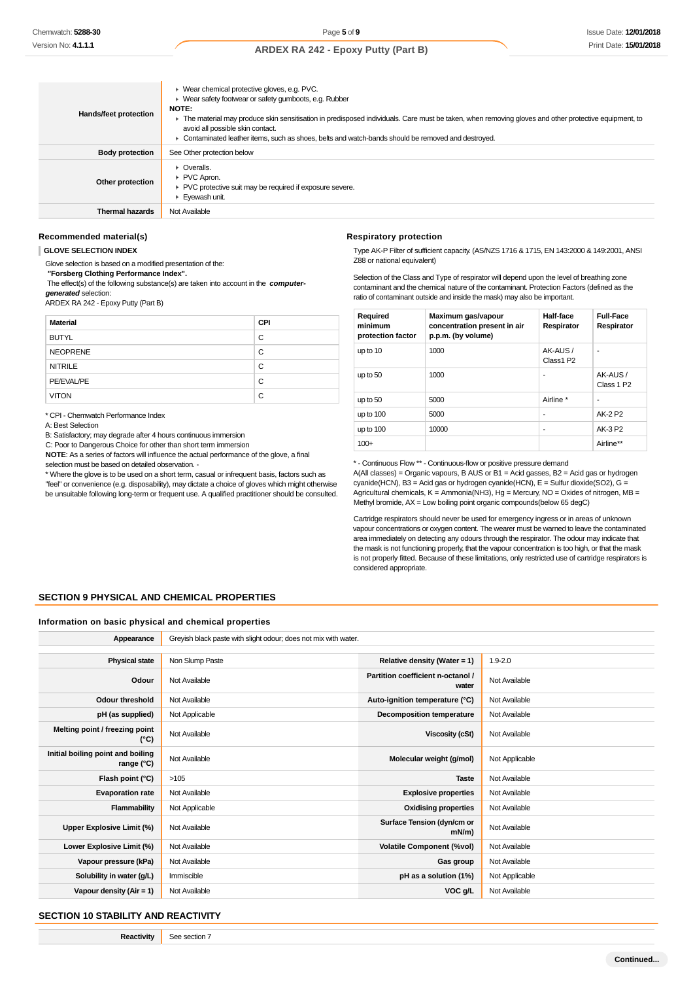| Hands/feet protection  | ▶ Wear chemical protective gloves, e.g. PVC.<br>• Wear safety footwear or safety gumboots, e.g. Rubber<br><b>NOTE:</b><br>The material may produce skin sensitisation in predisposed individuals. Care must be taken, when removing gloves and other protective equipment, to<br>avoid all possible skin contact.<br>► Contaminated leather items, such as shoes, belts and watch-bands should be removed and destroyed. |
|------------------------|--------------------------------------------------------------------------------------------------------------------------------------------------------------------------------------------------------------------------------------------------------------------------------------------------------------------------------------------------------------------------------------------------------------------------|
| <b>Body protection</b> | See Other protection below                                                                                                                                                                                                                                                                                                                                                                                               |
| Other protection       | $\triangleright$ Overalls.<br>PVC Apron.<br>▶ PVC protective suit may be required if exposure severe.<br>Eyewash unit.                                                                                                                                                                                                                                                                                                   |
| <b>Thermal hazards</b> | Not Available                                                                                                                                                                                                                                                                                                                                                                                                            |

#### **Recommended material(s)**

#### **GLOVE SELECTION INDEX**

Glove selection is based on a modified presentation of the:

 **"Forsberg Clothing Performance Index".**

 The effect(s) of the following substance(s) are taken into account in the **computergenerated** selection:

ARDEX RA 242 - Epoxy Putty (Part B)

| <b>Material</b> | <b>CPI</b> |
|-----------------|------------|
| <b>BUTYL</b>    | C          |
| <b>NEOPRENE</b> | C          |
| <b>NITRILE</b>  | C          |
| PE/EVAL/PE      | C          |
| <b>VITON</b>    | C          |

\* CPI - Chemwatch Performance Index

A: Best Selection

B: Satisfactory; may degrade after 4 hours continuous immersion

C: Poor to Dangerous Choice for other than short term immersion

**NOTE**: As a series of factors will influence the actual performance of the glove, a final selection must be based on detailed observation. -

\* Where the glove is to be used on a short term, casual or infrequent basis, factors such as

"feel" or convenience (e.g. disposability), may dictate a choice of gloves which might otherwise be unsuitable following long-term or frequent use. A qualified practitioner should be consulted.

#### **Respiratory protection**

Type AK-P Filter of sufficient capacity. (AS/NZS 1716 & 1715, EN 143:2000 & 149:2001, ANSI Z88 or national equivalent)

Selection of the Class and Type of respirator will depend upon the level of breathing zone contaminant and the chemical nature of the contaminant. Protection Factors (defined as the ratio of contaminant outside and inside the mask) may also be important.

| Required<br>minimum<br>protection factor | Maximum gas/vapour<br>concentration present in air<br>p.p.m. (by volume) | Half-face<br>Respirator | <b>Full-Face</b><br>Respirator    |
|------------------------------------------|--------------------------------------------------------------------------|-------------------------|-----------------------------------|
| up to 10                                 | 1000                                                                     | AK-AUS/<br>Class1 P2    | ٠                                 |
| up to 50                                 | 1000                                                                     | ۰                       | AK-AUS/<br>Class 1 P <sub>2</sub> |
| up to 50                                 | 5000                                                                     | Airline *               | ٠                                 |
| up to $100$                              | 5000                                                                     | ۰                       | AK-2 P2                           |
| up to $100$                              | 10000                                                                    | ۰                       | AK-3 P2                           |
| $100+$                                   |                                                                          |                         | Airline**                         |

\* - Continuous Flow \*\* - Continuous-flow or positive pressure demand

A(All classes) = Organic vapours, B AUS or B1 = Acid gasses, B2 = Acid gas or hydrogen cyanide(HCN), B3 = Acid gas or hydrogen cyanide(HCN), E = Sulfur dioxide(SO2), G = Agricultural chemicals,  $K =$  Ammonia(NH3), Hg = Mercury, NO = Oxides of nitrogen, MB = Methyl bromide, AX = Low boiling point organic compounds(below 65 degC)

Cartridge respirators should never be used for emergency ingress or in areas of unknown vapour concentrations or oxygen content. The wearer must be warned to leave the contaminated area immediately on detecting any odours through the respirator. The odour may indicate that the mask is not functioning properly, that the vapour concentration is too high, or that the mask is not properly fitted. Because of these limitations, only restricted use of cartridge respirators is considered appropriate.

#### **SECTION 9 PHYSICAL AND CHEMICAL PROPERTIES**

#### **Information on basic physical and chemical properties**

| Appearance                                      | Greyish black paste with slight odour; does not mix with water. |                                            |                |
|-------------------------------------------------|-----------------------------------------------------------------|--------------------------------------------|----------------|
|                                                 |                                                                 |                                            |                |
| <b>Physical state</b>                           | Non Slump Paste                                                 | Relative density (Water = 1)               | $1.9 - 2.0$    |
| Odour                                           | Not Available                                                   | Partition coefficient n-octanol /<br>water | Not Available  |
| <b>Odour threshold</b>                          | Not Available                                                   | Auto-ignition temperature (°C)             | Not Available  |
| pH (as supplied)                                | Not Applicable                                                  | <b>Decomposition temperature</b>           | Not Available  |
| Melting point / freezing point<br>(°C)          | Not Available                                                   | <b>Viscosity (cSt)</b>                     | Not Available  |
| Initial boiling point and boiling<br>range (°C) | Not Available                                                   | Molecular weight (g/mol)                   | Not Applicable |
| Flash point (°C)                                | >105                                                            | <b>Taste</b>                               | Not Available  |
| <b>Evaporation rate</b>                         | Not Available                                                   | <b>Explosive properties</b>                | Not Available  |
| <b>Flammability</b>                             | Not Applicable                                                  | <b>Oxidising properties</b>                | Not Available  |
| Upper Explosive Limit (%)                       | Not Available                                                   | Surface Tension (dyn/cm or<br>$mN/m$ )     | Not Available  |
| Lower Explosive Limit (%)                       | Not Available                                                   | <b>Volatile Component (%vol)</b>           | Not Available  |
| Vapour pressure (kPa)                           | Not Available                                                   | Gas group                                  | Not Available  |
| Solubility in water (g/L)                       | Immiscible                                                      | pH as a solution (1%)                      | Not Applicable |
| Vapour density (Air = 1)                        | Not Available                                                   | VOC g/L                                    | Not Available  |

#### **SECTION 10 STABILITY AND REACTIVITY**

**Reactivity** See section 7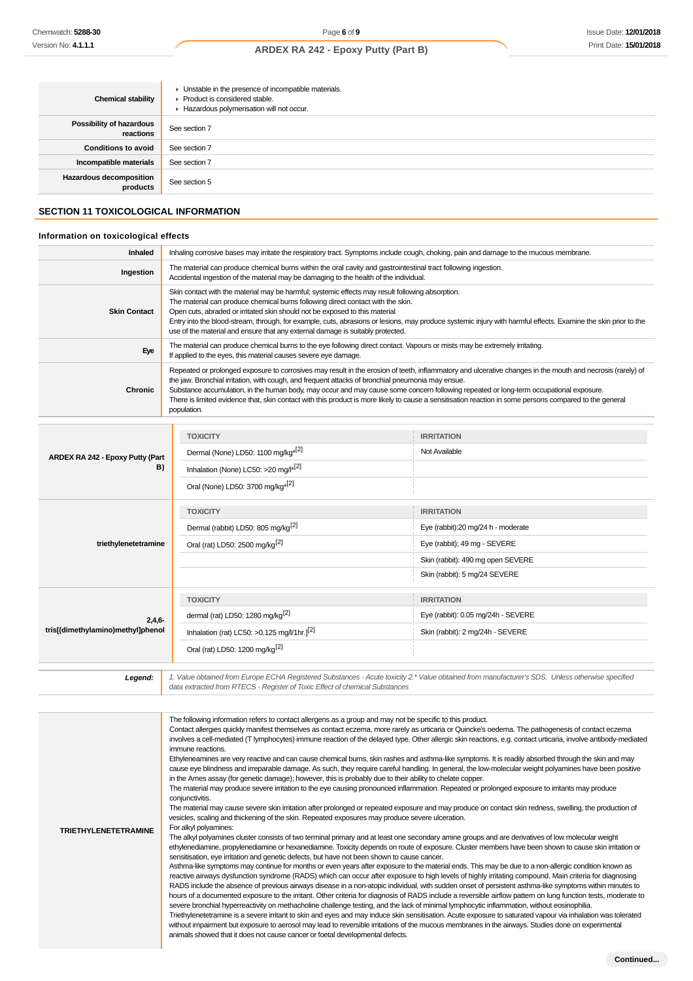| <b>Chemical stability</b>                    | • Unstable in the presence of incompatible materials.<br>▶ Product is considered stable.<br>Hazardous polymerisation will not occur. |
|----------------------------------------------|--------------------------------------------------------------------------------------------------------------------------------------|
| <b>Possibility of hazardous</b><br>reactions | See section 7                                                                                                                        |
| <b>Conditions to avoid</b>                   | See section 7                                                                                                                        |
| Incompatible materials                       | See section 7                                                                                                                        |
| Hazardous decomposition<br>products          | See section 5                                                                                                                        |

# **SECTION 11 TOXICOLOGICAL INFORMATION**

# **Information on toxicological effects**

| Inhaled             | Inhaling corrosive bases may irritate the respiratory tract. Symptoms include cough, choking, pain and damage to the mucous membrane.                                                                                                                                                                                                                                                                                                                                                                                                                                               |
|---------------------|-------------------------------------------------------------------------------------------------------------------------------------------------------------------------------------------------------------------------------------------------------------------------------------------------------------------------------------------------------------------------------------------------------------------------------------------------------------------------------------------------------------------------------------------------------------------------------------|
| Ingestion           | The material can produce chemical burns within the oral cavity and gastrointestinal tract following ingestion.<br>Accidental ingestion of the material may be damaging to the health of the individual.                                                                                                                                                                                                                                                                                                                                                                             |
| <b>Skin Contact</b> | Skin contact with the material may be harmful; systemic effects may result following absorption.<br>The material can produce chemical burns following direct contact with the skin.<br>Open cuts, abraded or irritated skin should not be exposed to this material<br>Entry into the blood-stream, through, for example, cuts, abrasions or lesions, may produce systemic injury with harmful effects. Examine the skin prior to the<br>use of the material and ensure that any external damage is suitably protected.                                                              |
| Eye                 | The material can produce chemical burns to the eye following direct contact. Vapours or mists may be extremely irritating.<br>If applied to the eyes, this material causes severe eye damage.                                                                                                                                                                                                                                                                                                                                                                                       |
| Chronic             | Repeated or prolonged exposure to corrosives may result in the erosion of teeth, inflammatory and ulcerative changes in the mouth and necrosis (rarely) of<br>the jaw. Bronchial irritation, with cough, and frequent attacks of bronchial pneumonia may ensue.<br>Substance accumulation, in the human body, may occur and may cause some concern following repeated or long-term occupational exposure.<br>There is limited evidence that, skin contact with this product is more likely to cause a sensitisation reaction in some persons compared to the general<br>population. |

| ARDEX RA 242 - Epoxy Putty (Part<br>B)        | <b>TOXICITY</b>                                          | <b>IRRITATION</b>                                                                                                                                |
|-----------------------------------------------|----------------------------------------------------------|--------------------------------------------------------------------------------------------------------------------------------------------------|
|                                               | Dermal (None) LD50: 1100 mg/kg <sup>*[2]</sup>           | Not Available                                                                                                                                    |
|                                               | Inhalation (None) LC50: >20 mg/l <sup>*[2]</sup>         |                                                                                                                                                  |
|                                               | Oral (None) LD50: 3700 mg/kg <sup>*[2]</sup>             |                                                                                                                                                  |
|                                               | <b>TOXICITY</b>                                          | <b>IRRITATION</b>                                                                                                                                |
|                                               | Dermal (rabbit) LD50: 805 mg/kg <sup>[2]</sup>           | Eye (rabbit):20 mg/24 h - moderate                                                                                                               |
| triethylenetetramine                          | Oral (rat) LD50: 2500 mg/kg <sup>[2]</sup>               | Eye (rabbit); 49 mg - SEVERE                                                                                                                     |
|                                               |                                                          | Skin (rabbit): 490 mg open SEVERE                                                                                                                |
|                                               |                                                          | Skin (rabbit): 5 mg/24 SEVERE                                                                                                                    |
|                                               | <b>TOXICITY</b>                                          | <b>IRRITATION</b>                                                                                                                                |
| $2,4,6-$<br>tris[(dimethylamino)methyl]phenol | dermal (rat) LD50: 1280 mg/kg <sup>[2]</sup>             | Eye (rabbit): 0.05 mg/24h - SEVERE                                                                                                               |
|                                               | Inhalation (rat) LC50: > 0.125 mg/l/1hr.] <sup>[2]</sup> | Skin (rabbit): 2 mg/24h - SEVERE                                                                                                                 |
|                                               | Oral (rat) LD50: 1200 mg/kg <sup>[2]</sup>               |                                                                                                                                                  |
| Legend:                                       |                                                          | 1. Value obtained from Europe ECHA Registered Substances - Acute toxicity 2.* Value obtained from manufacturer's SDS. Unless otherwise specified |

data extracted from RTECS - Register of Toxic Effect of chemical Substances

| <b>TRIETHYLENETETRAMINE</b> | The following information refers to contact allergens as a group and may not be specific to this product.<br>Contact allergies quickly manifest themselves as contact eczema, more rarely as urticaria or Quincke's oedema. The pathogenesis of contact eczema<br>involves a cell-mediated (T lymphocytes) immune reaction of the delayed type. Other allergic skin reactions, e.g. contact urticaria, involve antibody-mediated<br>immune reactions.<br>Ethyleneamines are very reactive and can cause chemical burns, skin rashes and asthma-like symptoms. It is readily absorbed through the skin and may<br>cause eye blindness and irreparable damage. As such, they require careful handling. In general, the low-molecular weight polyamines have been positive<br>in the Ames assay (for genetic damage); however, this is probably due to their ability to chelate copper.<br>The material may produce severe irritation to the eye causing pronounced inflammation. Repeated or prolonged exposure to irritants may produce<br>conjunctivitis.<br>The material may cause severe skin irritation after prolonged or repeated exposure and may produce on contact skin redness, swelling, the production of<br>vesicles, scaling and thickening of the skin. Repeated exposures may produce severe ulceration.<br>For alkyl polyamines:<br>The alkyl polyamines cluster consists of two terminal primary and at least one secondary amine groups and are derivatives of low molecular weight<br>ethylenediamine, propylenediamine or hexanediamine. Toxicity depends on route of exposure. Cluster members have been shown to cause skin irritation or<br>sensitisation, eye irritation and genetic defects, but have not been shown to cause cancer.<br>Asthma-like symptoms may continue for months or even years after exposure to the material ends. This may be due to a non-allergic condition known as<br>reactive airways dysfunction syndrome (RADS) which can occur after exposure to high levels of highly irritating compound. Main criteria for diagnosing<br>RADS include the absence of previous airways disease in a non-atopic individual, with sudden onset of persistent asthma-like symptoms within minutes to<br>hours of a documented exposure to the irritant. Other criteria for diagnosis of RADS include a reversible airflow pattern on lung function tests, moderate to<br>severe bronchial hyperreactivity on methacholine challenge testing, and the lack of minimal lymphocytic inflammation, without eosinophilia.<br>Triethylenetetramine is a severe irritant to skin and eyes and may induce skin sensitisation. Acute exposure to saturated vapour via inhalation was tolerated<br>without impairment but exposure to aerosol may lead to reversible irritations of the mucous membranes in the airways. Studies done on experimental<br>animals showed that it does not cause cancer or foetal developmental defects. |
|-----------------------------|---------------------------------------------------------------------------------------------------------------------------------------------------------------------------------------------------------------------------------------------------------------------------------------------------------------------------------------------------------------------------------------------------------------------------------------------------------------------------------------------------------------------------------------------------------------------------------------------------------------------------------------------------------------------------------------------------------------------------------------------------------------------------------------------------------------------------------------------------------------------------------------------------------------------------------------------------------------------------------------------------------------------------------------------------------------------------------------------------------------------------------------------------------------------------------------------------------------------------------------------------------------------------------------------------------------------------------------------------------------------------------------------------------------------------------------------------------------------------------------------------------------------------------------------------------------------------------------------------------------------------------------------------------------------------------------------------------------------------------------------------------------------------------------------------------------------------------------------------------------------------------------------------------------------------------------------------------------------------------------------------------------------------------------------------------------------------------------------------------------------------------------------------------------------------------------------------------------------------------------------------------------------------------------------------------------------------------------------------------------------------------------------------------------------------------------------------------------------------------------------------------------------------------------------------------------------------------------------------------------------------------------------------------------------------------------------------------------------------------------------------------------------------------------------------------------------------------------------------------------------------------------------------------------------------------------------------------------------|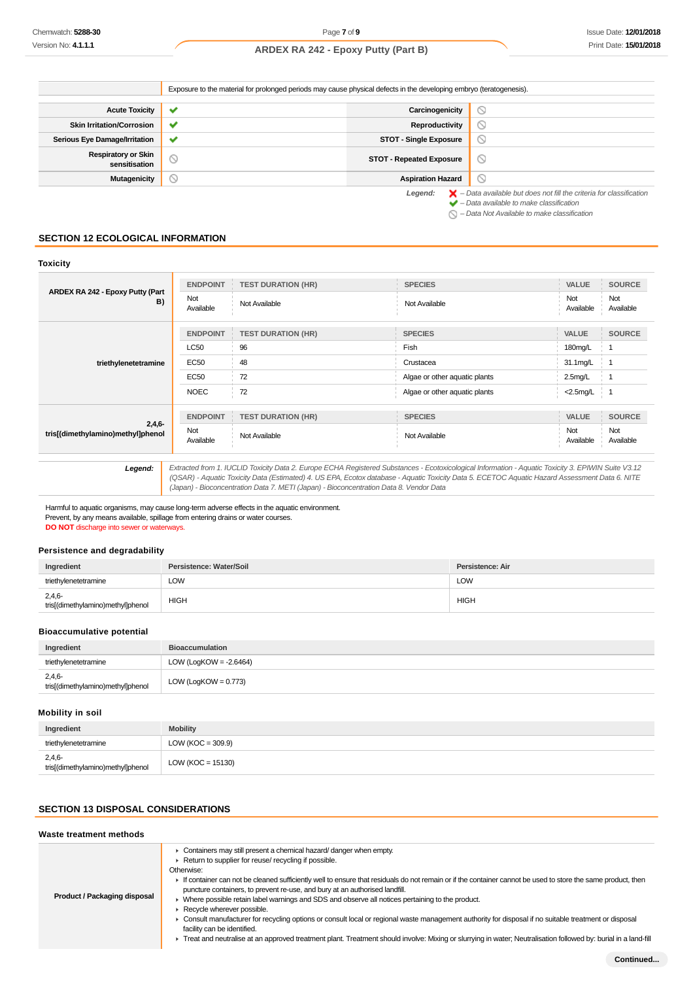Exposure to the material for prolonged periods may cause physical defects in the developing embryo (teratogenesis).

| <b>Acute Toxicity</b>                       | $\checkmark$   | Carcinogenicity                 |                                                                                          |
|---------------------------------------------|----------------|---------------------------------|------------------------------------------------------------------------------------------|
| <b>Skin Irritation/Corrosion</b>            | $\checkmark$   | Reproductivity                  | $\circ$                                                                                  |
| <b>Serious Eye Damage/Irritation</b>        | $\checkmark$   | <b>STOT - Single Exposure</b>   |                                                                                          |
| <b>Respiratory or Skin</b><br>sensitisation | $\circledcirc$ | <b>STOT - Repeated Exposure</b> | $\circ$                                                                                  |
| Mutagenicity                                | $\circ$        | <b>Aspiration Hazard</b>        | $\circ$                                                                                  |
|                                             |                | Legend:                         | $\blacktriangleright$ - Data available but does not fill the criteria for classification |

 $\blacktriangleright$  – Data available to make classification

 $\bigcirc$  – Data Not Available to make classification

# **SECTION 12 ECOLOGICAL INFORMATION**

| <b>Toxicity</b>                               |                  |                                                                                        |                                                                                                                                                                                                                                                                                                       |                  |                  |
|-----------------------------------------------|------------------|----------------------------------------------------------------------------------------|-------------------------------------------------------------------------------------------------------------------------------------------------------------------------------------------------------------------------------------------------------------------------------------------------------|------------------|------------------|
| ARDEX RA 242 - Epoxy Putty (Part<br>B)        | <b>ENDPOINT</b>  | <b>TEST DURATION (HR)</b>                                                              | <b>SPECIES</b>                                                                                                                                                                                                                                                                                        | VALUE            | <b>SOURCE</b>    |
|                                               | Not<br>Available | Not Available                                                                          | Not Available                                                                                                                                                                                                                                                                                         | Not<br>Available | Not<br>Available |
|                                               | <b>ENDPOINT</b>  | <b>TEST DURATION (HR)</b>                                                              | <b>SPECIES</b>                                                                                                                                                                                                                                                                                        | <b>VALUE</b>     | <b>SOURCE</b>    |
|                                               | LC50             | 96                                                                                     | Fish                                                                                                                                                                                                                                                                                                  | 180mg/L          |                  |
| triethylenetetramine                          | EC50             | 48                                                                                     | Crustacea                                                                                                                                                                                                                                                                                             | 31.1mg/L         | $\mathbf{1}$     |
|                                               | EC50             | 72                                                                                     | Algae or other aquatic plants                                                                                                                                                                                                                                                                         | $2.5$ mg/L       |                  |
|                                               | <b>NOEC</b>      | 72                                                                                     | Algae or other aquatic plants                                                                                                                                                                                                                                                                         | $<$ 2.5mg/L      | ∴ 1              |
|                                               | <b>ENDPOINT</b>  | <b>TEST DURATION (HR)</b>                                                              | <b>SPECIES</b>                                                                                                                                                                                                                                                                                        | VALUE            | <b>SOURCE</b>    |
| $2,4,6-$<br>tris[(dimethylamino)methyl]phenol | Not<br>Available | Not Available                                                                          | Not Available                                                                                                                                                                                                                                                                                         | Not<br>Available | Not<br>Available |
|                                               |                  |                                                                                        |                                                                                                                                                                                                                                                                                                       |                  |                  |
| Legend:                                       |                  | (Japan) - Bioconcentration Data 7. METI (Japan) - Bioconcentration Data 8. Vendor Data | Extracted from 1. IUCLID Toxicity Data 2. Europe ECHA Registered Substances - Ecotoxicological Information - Aquatic Toxicity 3. EPIWIN Suite V3.12<br>(QSAR) - Aquatic Toxicity Data (Estimated) 4. US EPA, Ecotox database - Aquatic Toxicity Data 5. ECETOC Aquatic Hazard Assessment Data 6. NITE |                  |                  |

Harmful to aquatic organisms, may cause long-term adverse effects in the aquatic environment. Prevent, by any means available, spillage from entering drains or water courses. **DO NOT** discharge into sewer or waterways.

#### **Persistence and degradability**

| Ingredient                                    | Persistence: Water/Soil | Persistence: Air |
|-----------------------------------------------|-------------------------|------------------|
| triethylenetetramine                          | LOW                     | LOW              |
| $2,4,6-$<br>tris[(dimethylamino)methyl]phenol | <b>HIGH</b>             | <b>HIGH</b>      |

### **Bioaccumulative potential**

| Ingredient                                    | <b>Bioaccumulation</b>    |
|-----------------------------------------------|---------------------------|
| triethvlenetetramine                          | LOW (LogKOW = $-2.6464$ ) |
| $2,4,6-$<br>tris[(dimethylamino)methyl]phenol | LOW (LogKOW = $0.773$ )   |

#### **Mobility in soil**

| Ingredient                                    | <b>Mobility</b>       |
|-----------------------------------------------|-----------------------|
| triethylenetetramine                          | $LOW (KOC = 309.9)$   |
| $2,4,6-$<br>tris[(dimethylamino)methyl]phenol | LOW ( $KOC = 15130$ ) |

# **SECTION 13 DISPOSAL CONSIDERATIONS**

#### **Waste treatment methods**

| Product / Packaging disposal | Containers may still present a chemical hazard/ danger when empty.<br>Return to supplier for reuse/ recycling if possible.<br>Otherwise:<br>If container can not be cleaned sufficiently well to ensure that residuals do not remain or if the container cannot be used to store the same product, then<br>puncture containers, to prevent re-use, and bury at an authorised landfill.<br>Where possible retain label warnings and SDS and observe all notices pertaining to the product.<br>Recycle wherever possible.<br>► Consult manufacturer for recycling options or consult local or regional waste management authority for disposal if no suitable treatment or disposal<br>facility can be identified.<br>F Treat and neutralise at an approved treatment plant. Treatment should involve: Mixing or slurrying in water; Neutralisation followed by: burial in a land-fill |  |  |  |
|------------------------------|--------------------------------------------------------------------------------------------------------------------------------------------------------------------------------------------------------------------------------------------------------------------------------------------------------------------------------------------------------------------------------------------------------------------------------------------------------------------------------------------------------------------------------------------------------------------------------------------------------------------------------------------------------------------------------------------------------------------------------------------------------------------------------------------------------------------------------------------------------------------------------------|--|--|--|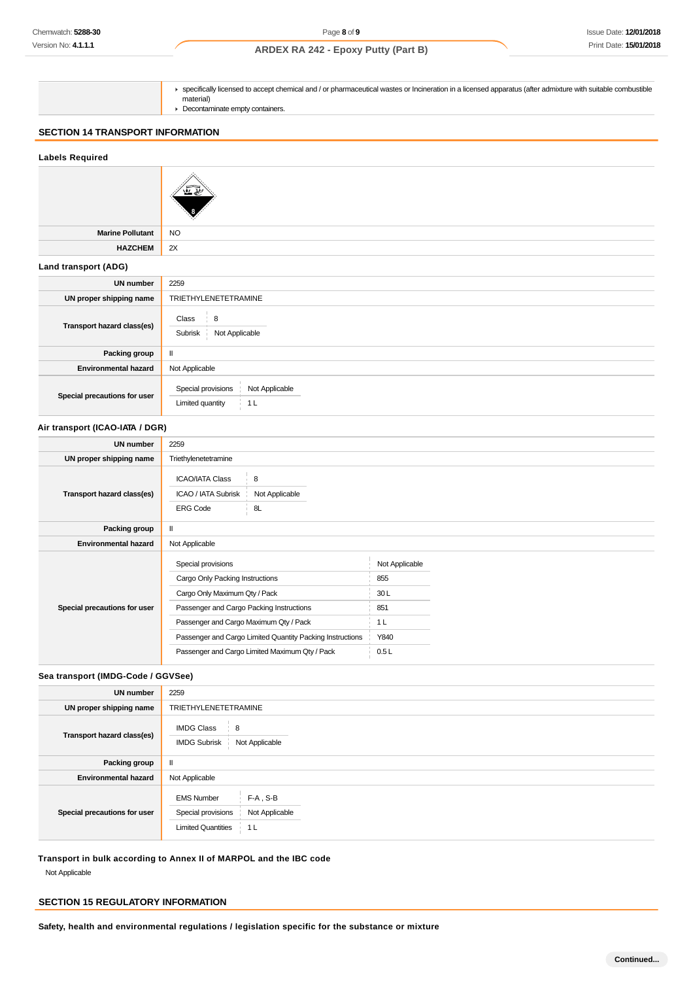| ► specifically licensed to accept chemical and / or pharmaceutical wastes or Incineration in a licensed apparatus (after admixture with suitable combustible<br>material) |
|---------------------------------------------------------------------------------------------------------------------------------------------------------------------------|
| Decontaminate empty containers.                                                                                                                                           |

# **SECTION 14 TRANSPORT INFORMATION**

#### **Labels Required**

| <b>Marine Pollutant</b>         | <b>NO</b>                                                                  |
|---------------------------------|----------------------------------------------------------------------------|
| <b>HAZCHEM</b>                  | 2X                                                                         |
| Land transport (ADG)            |                                                                            |
| <b>UN number</b>                | 2259                                                                       |
| UN proper shipping name         | TRIETHYLENETETRAMINE                                                       |
| Transport hazard class(es)      | Class<br>8<br>Not Applicable<br>Subrisk                                    |
| Packing group                   | $\mathbf{I}$                                                               |
| <b>Environmental hazard</b>     | Not Applicable                                                             |
| Special precautions for user    | Not Applicable<br>Special provisions<br>Limited quantity<br>1 <sub>L</sub> |
| Air transport (ICAO-IATA / DGR) |                                                                            |
| <b>UN number</b>                | 2259                                                                       |
| UN proper shipping name         | Triethylenetetramine                                                       |
|                                 | <b>ICAO/IATA Class</b><br>8                                                |

| Transport hazard class(es)   | ICAO / IATA Subrisk<br>Not Applicable                     |                |
|------------------------------|-----------------------------------------------------------|----------------|
|                              | <b>ERG Code</b><br>8L                                     |                |
| Packing group                | $\mathbf{I}$                                              |                |
| <b>Environmental hazard</b>  | Not Applicable                                            |                |
|                              | Special provisions                                        | Not Applicable |
|                              | Cargo Only Packing Instructions                           | 855            |
|                              | Cargo Only Maximum Qty / Pack                             | 30 L           |
| Special precautions for user | Passenger and Cargo Packing Instructions                  | 851            |
|                              | Passenger and Cargo Maximum Qty / Pack                    | 1 <sub>L</sub> |
|                              | Passenger and Cargo Limited Quantity Packing Instructions | Y840           |
|                              | Passenger and Cargo Limited Maximum Qty / Pack            | 0.5L           |
|                              |                                                           |                |

## **Sea transport (IMDG-Code / GGVSee)**

| <b>UN number</b>             | 2259                                                                                                                      |
|------------------------------|---------------------------------------------------------------------------------------------------------------------------|
| UN proper shipping name      | <b>TRIETHYLENETETRAMINE</b>                                                                                               |
| Transport hazard class(es)   | <b>IMDG Class</b><br>8<br>Not Applicable<br><b>IMDG Subrisk</b>                                                           |
| Packing group                | Ш                                                                                                                         |
| <b>Environmental hazard</b>  | Not Applicable                                                                                                            |
| Special precautions for user | <b>EMS Number</b><br>$F-A$ , $S-B$<br>Special provisions<br>Not Applicable<br><b>Limited Quantities</b><br>1 <sub>L</sub> |

**Transport in bulk according to Annex II of MARPOL and the IBC code** Not Applicable

# **SECTION 15 REGULATORY INFORMATION**